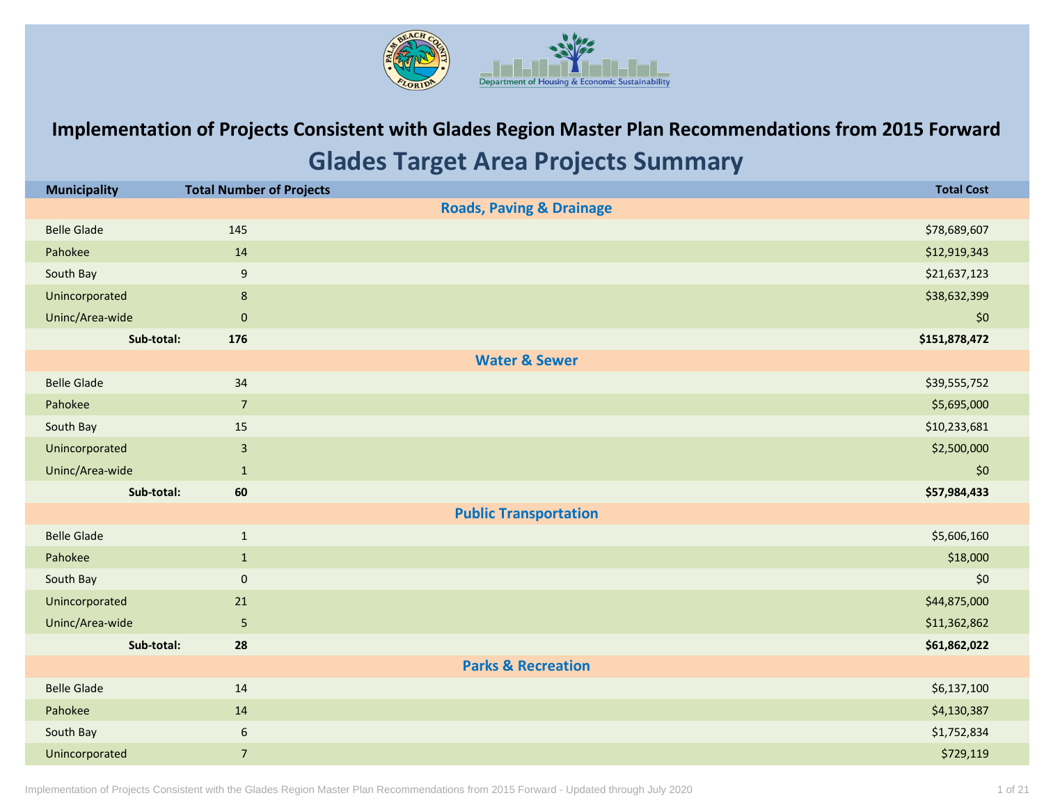

## **Implementation of Projects Consistent with Glades Region Master Plan Recommendations from 2015 Forward Glades Target Area Projects Summary**

| <b>Municipality</b> | <b>Total Number of Projects</b> | <b>Total Cost</b>                   |
|---------------------|---------------------------------|-------------------------------------|
|                     |                                 | <b>Roads, Paving &amp; Drainage</b> |
| <b>Belle Glade</b>  | 145                             | \$78,689,607                        |
| Pahokee             | 14                              | \$12,919,343                        |
| South Bay           | $\boldsymbol{9}$                | \$21,637,123                        |
| Unincorporated      | $\bf 8$                         | \$38,632,399                        |
| Uninc/Area-wide     | $\mathbf 0$                     | \$0                                 |
| Sub-total:          | 176                             | \$151,878,472                       |
|                     |                                 | <b>Water &amp; Sewer</b>            |
| <b>Belle Glade</b>  | 34                              | \$39,555,752                        |
| Pahokee             | $\overline{7}$                  | \$5,695,000                         |
| South Bay           | 15                              | \$10,233,681                        |
| Unincorporated      | $\mathbf{3}$                    | \$2,500,000                         |
| Uninc/Area-wide     | $\mathbf{1}$                    | \$0                                 |
| Sub-total:          | 60                              | \$57,984,433                        |
|                     |                                 | <b>Public Transportation</b>        |
| <b>Belle Glade</b>  | $\mathbf{1}$                    | \$5,606,160                         |
| Pahokee             | $\mathbf{1}$                    | \$18,000                            |
| South Bay           | $\pmb{0}$                       | \$0                                 |
| Unincorporated      | 21                              | \$44,875,000                        |
| Uninc/Area-wide     | $\sqrt{5}$                      | \$11,362,862                        |
| Sub-total:          | 28                              | \$61,862,022                        |
|                     |                                 | <b>Parks &amp; Recreation</b>       |
| <b>Belle Glade</b>  | 14                              | \$6,137,100                         |
| Pahokee             | 14                              | \$4,130,387                         |
| South Bay           | $\boldsymbol{6}$                | \$1,752,834                         |
| Unincorporated      | $\overline{7}$                  | \$729,119                           |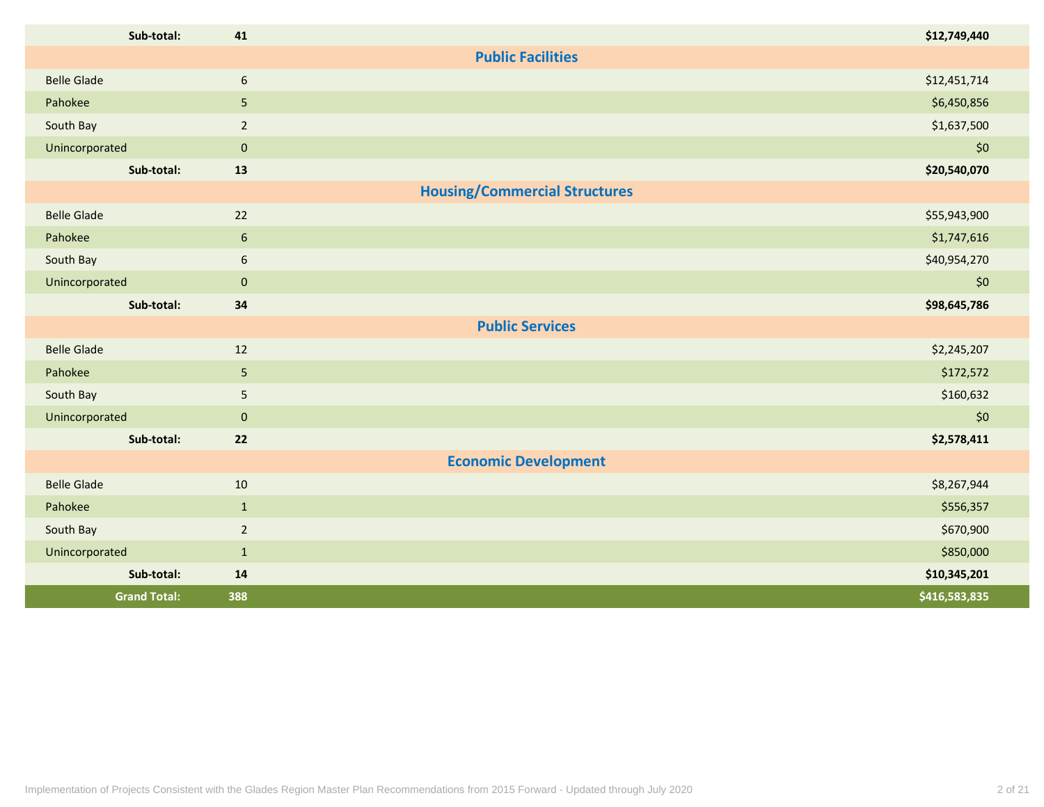| Sub-total:          | 41               | \$12,749,440                         |
|---------------------|------------------|--------------------------------------|
|                     |                  | <b>Public Facilities</b>             |
| <b>Belle Glade</b>  | 6                | \$12,451,714                         |
| Pahokee             | 5 <sub>5</sub>   | \$6,450,856                          |
| South Bay           | $\overline{2}$   | \$1,637,500                          |
| Unincorporated      | $\pmb{0}$        | \$0                                  |
| Sub-total:          | 13               | \$20,540,070                         |
|                     |                  | <b>Housing/Commercial Structures</b> |
| <b>Belle Glade</b>  | 22               | \$55,943,900                         |
| Pahokee             | $\boldsymbol{6}$ | \$1,747,616                          |
| South Bay           | 6                | \$40,954,270                         |
| Unincorporated      | $\mathbf 0$      | \$0                                  |
| Sub-total:          | 34               | \$98,645,786                         |
|                     |                  | <b>Public Services</b>               |
| <b>Belle Glade</b>  | 12               | \$2,245,207                          |
| Pahokee             | $5\phantom{.}$   | \$172,572                            |
| South Bay           | $5\phantom{.0}$  | \$160,632                            |
| Unincorporated      | $\mathbf 0$      | \$0                                  |
| Sub-total:          | 22               | \$2,578,411                          |
|                     |                  | <b>Economic Development</b>          |
| <b>Belle Glade</b>  | 10               | \$8,267,944                          |
| Pahokee             | $1\,$            | \$556,357                            |
| South Bay           | $\overline{2}$   | \$670,900                            |
| Unincorporated      | $\mathbf{1}$     | \$850,000                            |
| Sub-total:          | 14               | \$10,345,201                         |
| <b>Grand Total:</b> | 388              | \$416,583,835                        |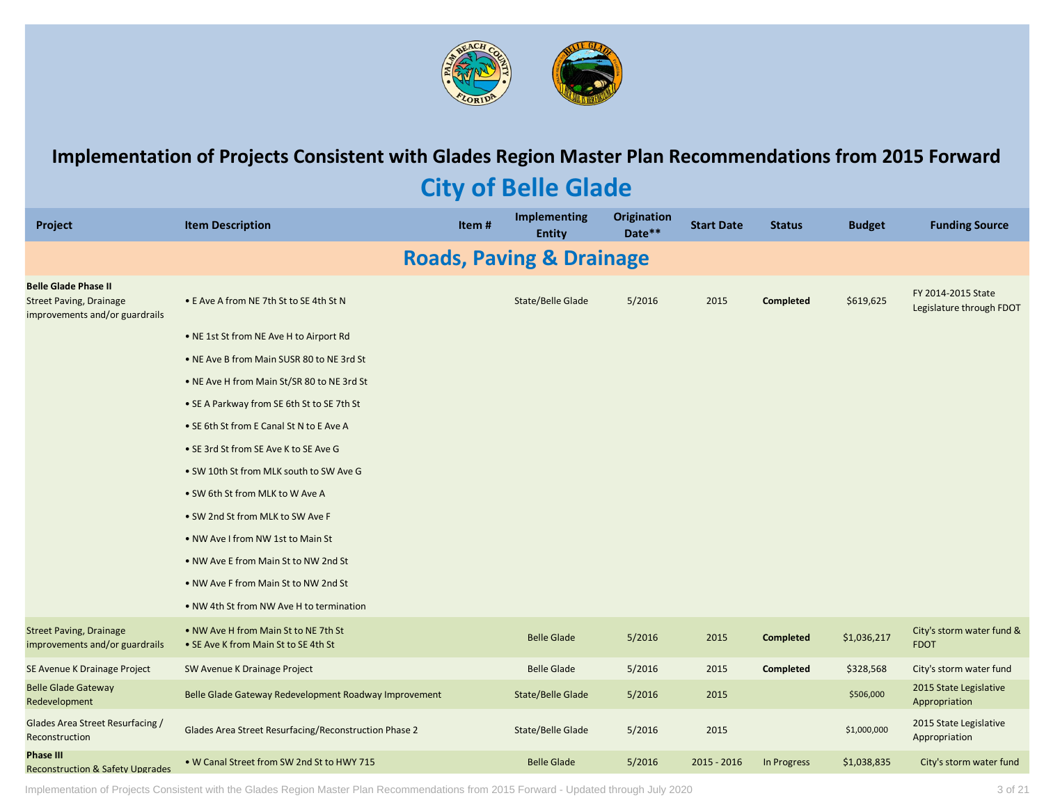

### **Implementation of Projects Consistent with Glades Region Master Plan Recommendations from 2015 Forward**

## **City of Belle Glade**

| <b>Project</b>                                                                                  | <b>Item Description</b>                                                      | Item# | Implementing<br><b>Entity</b>       | <b>Origination</b><br>Date** | <b>Start Date</b> | <b>Status</b>    | <b>Budget</b> | <b>Funding Source</b>                          |
|-------------------------------------------------------------------------------------------------|------------------------------------------------------------------------------|-------|-------------------------------------|------------------------------|-------------------|------------------|---------------|------------------------------------------------|
|                                                                                                 |                                                                              |       | <b>Roads, Paving &amp; Drainage</b> |                              |                   |                  |               |                                                |
| <b>Belle Glade Phase II</b><br><b>Street Paving, Drainage</b><br>improvements and/or guardrails | • E Ave A from NE 7th St to SE 4th St N                                      |       | <b>State/Belle Glade</b>            | 5/2016                       | 2015              | Completed        | \$619,625     | FY 2014-2015 State<br>Legislature through FDOT |
|                                                                                                 | . NE 1st St from NE Ave H to Airport Rd                                      |       |                                     |                              |                   |                  |               |                                                |
|                                                                                                 | • NE Ave B from Main SUSR 80 to NE 3rd St                                    |       |                                     |                              |                   |                  |               |                                                |
|                                                                                                 | • NE Ave H from Main St/SR 80 to NE 3rd St                                   |       |                                     |                              |                   |                  |               |                                                |
|                                                                                                 | • SE A Parkway from SE 6th St to SE 7th St                                   |       |                                     |                              |                   |                  |               |                                                |
|                                                                                                 | • SE 6th St from E Canal St N to E Ave A                                     |       |                                     |                              |                   |                  |               |                                                |
|                                                                                                 | • SE 3rd St from SE Ave K to SE Ave G                                        |       |                                     |                              |                   |                  |               |                                                |
|                                                                                                 | . SW 10th St from MLK south to SW Ave G                                      |       |                                     |                              |                   |                  |               |                                                |
|                                                                                                 | • SW 6th St from MLK to W Ave A                                              |       |                                     |                              |                   |                  |               |                                                |
|                                                                                                 | • SW 2nd St from MLK to SW Ave F                                             |       |                                     |                              |                   |                  |               |                                                |
|                                                                                                 | • NW Ave I from NW 1st to Main St                                            |       |                                     |                              |                   |                  |               |                                                |
|                                                                                                 | • NW Ave E from Main St to NW 2nd St                                         |       |                                     |                              |                   |                  |               |                                                |
|                                                                                                 | . NW Ave F from Main St to NW 2nd St                                         |       |                                     |                              |                   |                  |               |                                                |
|                                                                                                 | . NW 4th St from NW Ave H to termination                                     |       |                                     |                              |                   |                  |               |                                                |
| <b>Street Paving, Drainage</b><br>improvements and/or guardrails                                | • NW Ave H from Main St to NE 7th St<br>• SE Ave K from Main St to SE 4th St |       | <b>Belle Glade</b>                  | 5/2016                       | 2015              | <b>Completed</b> | \$1,036,217   | City's storm water fund &<br><b>FDOT</b>       |
| SE Avenue K Drainage Project                                                                    | SW Avenue K Drainage Project                                                 |       | <b>Belle Glade</b>                  | 5/2016                       | 2015              | Completed        | \$328,568     | City's storm water fund                        |
| <b>Belle Glade Gateway</b><br>Redevelopment                                                     | Belle Glade Gateway Redevelopment Roadway Improvement                        |       | State/Belle Glade                   | 5/2016                       | 2015              |                  | \$506,000     | 2015 State Legislative<br>Appropriation        |
| Glades Area Street Resurfacing /<br>Reconstruction                                              | Glades Area Street Resurfacing/Reconstruction Phase 2                        |       | State/Belle Glade                   | 5/2016                       | 2015              |                  | \$1,000,000   | 2015 State Legislative<br>Appropriation        |
| <b>Phase III</b><br><b>Reconstruction &amp; Safety Upgrades</b>                                 | . W Canal Street from SW 2nd St to HWY 715                                   |       | <b>Belle Glade</b>                  | 5/2016                       | $2015 - 2016$     | In Progress      | \$1,038,835   | City's storm water fund                        |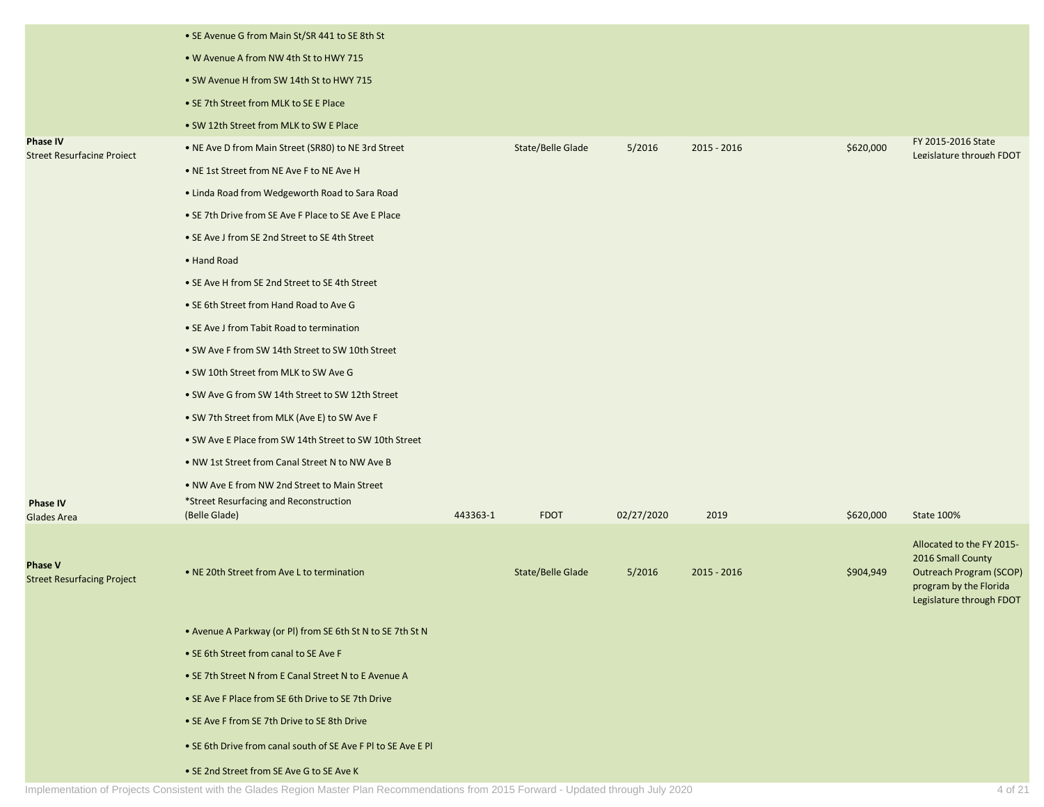|                                                      | • SE Avenue G from Main St/SR 441 to SE 8th St                                         |          |                   |            |               |           |                                                                                      |
|------------------------------------------------------|----------------------------------------------------------------------------------------|----------|-------------------|------------|---------------|-----------|--------------------------------------------------------------------------------------|
|                                                      | • W Avenue A from NW 4th St to HWY 715                                                 |          |                   |            |               |           |                                                                                      |
|                                                      | • SW Avenue H from SW 14th St to HWY 715                                               |          |                   |            |               |           |                                                                                      |
|                                                      | • SE 7th Street from MLK to SE E Place                                                 |          |                   |            |               |           |                                                                                      |
|                                                      | • SW 12th Street from MLK to SW E Place                                                |          |                   |            |               |           |                                                                                      |
| <b>Phase IV</b><br><b>Street Resurfacing Project</b> | . NE Ave D from Main Street (SR80) to NE 3rd Street                                    |          | State/Belle Glade | 5/2016     | $2015 - 2016$ | \$620,000 | FY 2015-2016 State<br>Legislature through FDOT                                       |
|                                                      | • NE 1st Street from NE Ave F to NE Ave H                                              |          |                   |            |               |           |                                                                                      |
|                                                      | • Linda Road from Wedgeworth Road to Sara Road                                         |          |                   |            |               |           |                                                                                      |
|                                                      | • SE 7th Drive from SE Ave F Place to SE Ave E Place                                   |          |                   |            |               |           |                                                                                      |
|                                                      | • SE Ave J from SE 2nd Street to SE 4th Street                                         |          |                   |            |               |           |                                                                                      |
|                                                      | • Hand Road                                                                            |          |                   |            |               |           |                                                                                      |
|                                                      | • SE Ave H from SE 2nd Street to SE 4th Street                                         |          |                   |            |               |           |                                                                                      |
|                                                      | • SE 6th Street from Hand Road to Ave G                                                |          |                   |            |               |           |                                                                                      |
|                                                      | • SE Ave J from Tabit Road to termination                                              |          |                   |            |               |           |                                                                                      |
|                                                      | • SW Ave F from SW 14th Street to SW 10th Street                                       |          |                   |            |               |           |                                                                                      |
|                                                      | • SW 10th Street from MLK to SW Ave G                                                  |          |                   |            |               |           |                                                                                      |
|                                                      | • SW Ave G from SW 14th Street to SW 12th Street                                       |          |                   |            |               |           |                                                                                      |
|                                                      | • SW 7th Street from MLK (Ave E) to SW Ave F                                           |          |                   |            |               |           |                                                                                      |
|                                                      | • SW Ave E Place from SW 14th Street to SW 10th Street                                 |          |                   |            |               |           |                                                                                      |
|                                                      | . NW 1st Street from Canal Street N to NW Ave B                                        |          |                   |            |               |           |                                                                                      |
| Phase IV                                             | • NW Ave E from NW 2nd Street to Main Street<br>*Street Resurfacing and Reconstruction |          |                   |            |               |           |                                                                                      |
| <b>Glades Area</b>                                   | (Belle Glade)                                                                          | 443363-1 | <b>FDOT</b>       | 02/27/2020 | 2019          | \$620,000 | State 100%                                                                           |
| <b>Phase V</b>                                       |                                                                                        |          |                   |            |               |           | Allocated to the FY 2015-<br>2016 Small County                                       |
| <b>Street Resurfacing Project</b>                    | • NE 20th Street from Ave L to termination                                             |          | State/Belle Glade | 5/2016     | $2015 - 2016$ | \$904,949 | <b>Outreach Program (SCOP)</b><br>program by the Florida<br>Legislature through FDOT |
|                                                      | • Avenue A Parkway (or PI) from SE 6th St N to SE 7th St N                             |          |                   |            |               |           |                                                                                      |
|                                                      | • SE 6th Street from canal to SE Ave F                                                 |          |                   |            |               |           |                                                                                      |
|                                                      | • SE 7th Street N from E Canal Street N to E Avenue A                                  |          |                   |            |               |           |                                                                                      |
|                                                      | • SE Ave F Place from SE 6th Drive to SE 7th Drive                                     |          |                   |            |               |           |                                                                                      |
|                                                      | • SE Ave F from SE 7th Drive to SE 8th Drive                                           |          |                   |            |               |           |                                                                                      |
|                                                      | . SE 6th Drive from canal south of SE Ave F PI to SE Ave E PI                          |          |                   |            |               |           |                                                                                      |
|                                                      | • SE 2nd Street from SE Ave G to SE Ave K                                              |          |                   |            |               |           |                                                                                      |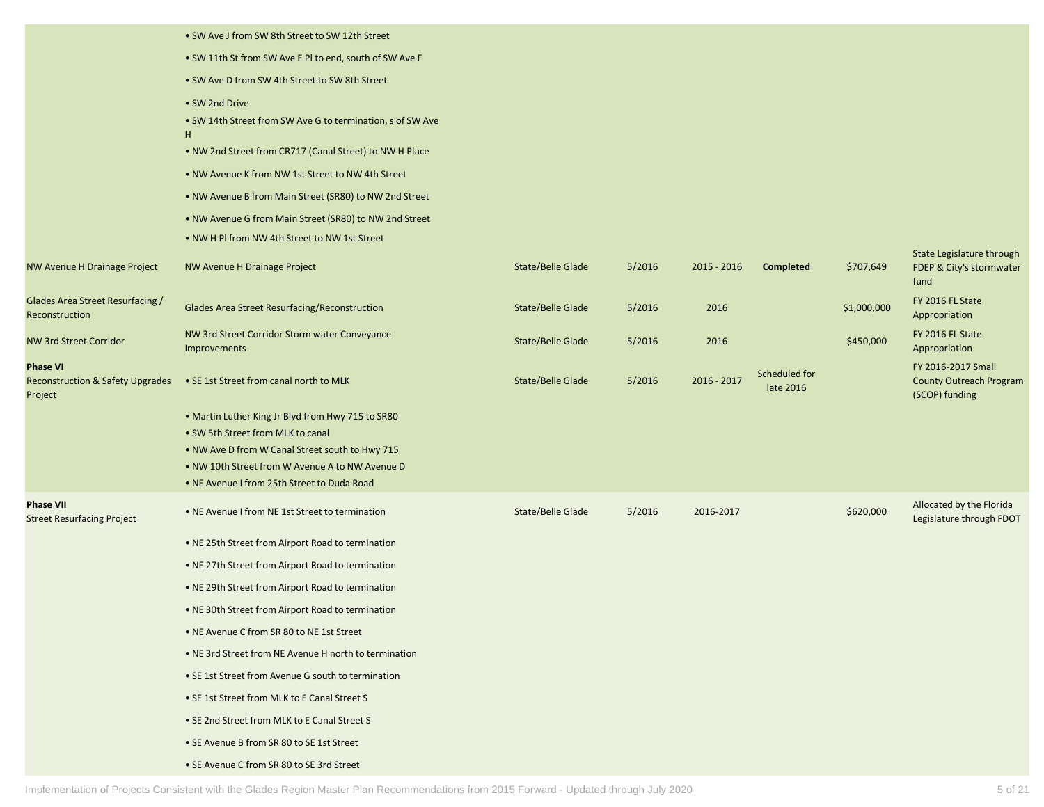|                                                        | • SW Ave J from SW 8th Street to SW 12th Street                                                         |                          |        |             |                  |             |                                                      |
|--------------------------------------------------------|---------------------------------------------------------------------------------------------------------|--------------------------|--------|-------------|------------------|-------------|------------------------------------------------------|
|                                                        | • SW 11th St from SW Ave E PI to end, south of SW Ave F                                                 |                          |        |             |                  |             |                                                      |
|                                                        | • SW Ave D from SW 4th Street to SW 8th Street                                                          |                          |        |             |                  |             |                                                      |
|                                                        | • SW 2nd Drive                                                                                          |                          |        |             |                  |             |                                                      |
|                                                        | • SW 14th Street from SW Ave G to termination, s of SW Ave                                              |                          |        |             |                  |             |                                                      |
|                                                        | H<br>• NW 2nd Street from CR717 (Canal Street) to NW H Place                                            |                          |        |             |                  |             |                                                      |
|                                                        | • NW Avenue K from NW 1st Street to NW 4th Street                                                       |                          |        |             |                  |             |                                                      |
|                                                        |                                                                                                         |                          |        |             |                  |             |                                                      |
|                                                        | • NW Avenue B from Main Street (SR80) to NW 2nd Street                                                  |                          |        |             |                  |             |                                                      |
|                                                        | • NW Avenue G from Main Street (SR80) to NW 2nd Street<br>• NW H PI from NW 4th Street to NW 1st Street |                          |        |             |                  |             |                                                      |
|                                                        |                                                                                                         |                          |        |             |                  |             | State Legislature through                            |
| NW Avenue H Drainage Project                           | NW Avenue H Drainage Project                                                                            | State/Belle Glade        | 5/2016 | 2015 - 2016 | <b>Completed</b> | \$707,649   | FDEP & City's stormwater<br>fund                     |
| Glades Area Street Resurfacing /                       | Glades Area Street Resurfacing/Reconstruction                                                           | State/Belle Glade        | 5/2016 | 2016        |                  | \$1,000,000 | FY 2016 FL State                                     |
| Reconstruction                                         |                                                                                                         |                          |        |             |                  |             | Appropriation                                        |
| <b>NW 3rd Street Corridor</b>                          | NW 3rd Street Corridor Storm water Conveyance<br>Improvements                                           | <b>State/Belle Glade</b> | 5/2016 | 2016        |                  | \$450,000   | FY 2016 FL State<br>Appropriation                    |
| <b>Phase VI</b>                                        |                                                                                                         |                          |        |             | Scheduled for    |             | FY 2016-2017 Small                                   |
| <b>Reconstruction &amp; Safety Upgrades</b><br>Project | • SE 1st Street from canal north to MLK                                                                 | State/Belle Glade        | 5/2016 | 2016 - 2017 | late 2016        |             | <b>County Outreach Program</b><br>(SCOP) funding     |
|                                                        | • Martin Luther King Jr Blvd from Hwy 715 to SR80                                                       |                          |        |             |                  |             |                                                      |
|                                                        | • SW 5th Street from MLK to canal                                                                       |                          |        |             |                  |             |                                                      |
|                                                        | . NW Ave D from W Canal Street south to Hwy 715<br>. NW 10th Street from W Avenue A to NW Avenue D      |                          |        |             |                  |             |                                                      |
|                                                        | . NE Avenue I from 25th Street to Duda Road                                                             |                          |        |             |                  |             |                                                      |
| <b>Phase VII</b><br><b>Street Resurfacing Project</b>  | • NE Avenue I from NE 1st Street to termination                                                         | State/Belle Glade        | 5/2016 | 2016-2017   |                  | \$620,000   | Allocated by the Florida<br>Legislature through FDOT |
|                                                        | • NE 25th Street from Airport Road to termination                                                       |                          |        |             |                  |             |                                                      |
|                                                        | • NE 27th Street from Airport Road to termination                                                       |                          |        |             |                  |             |                                                      |
|                                                        | • NE 29th Street from Airport Road to termination                                                       |                          |        |             |                  |             |                                                      |
|                                                        | • NE 30th Street from Airport Road to termination                                                       |                          |        |             |                  |             |                                                      |
|                                                        | • NE Avenue C from SR 80 to NE 1st Street                                                               |                          |        |             |                  |             |                                                      |
|                                                        | • NE 3rd Street from NE Avenue H north to termination                                                   |                          |        |             |                  |             |                                                      |
|                                                        | • SE 1st Street from Avenue G south to termination                                                      |                          |        |             |                  |             |                                                      |
|                                                        | • SE 1st Street from MLK to E Canal Street S                                                            |                          |        |             |                  |             |                                                      |
|                                                        | • SE 2nd Street from MLK to E Canal Street S                                                            |                          |        |             |                  |             |                                                      |
|                                                        | • SE Avenue B from SR 80 to SE 1st Street                                                               |                          |        |             |                  |             |                                                      |
|                                                        | • SE Avenue C from SR 80 to SE 3rd Street                                                               |                          |        |             |                  |             |                                                      |
|                                                        |                                                                                                         |                          |        |             |                  |             |                                                      |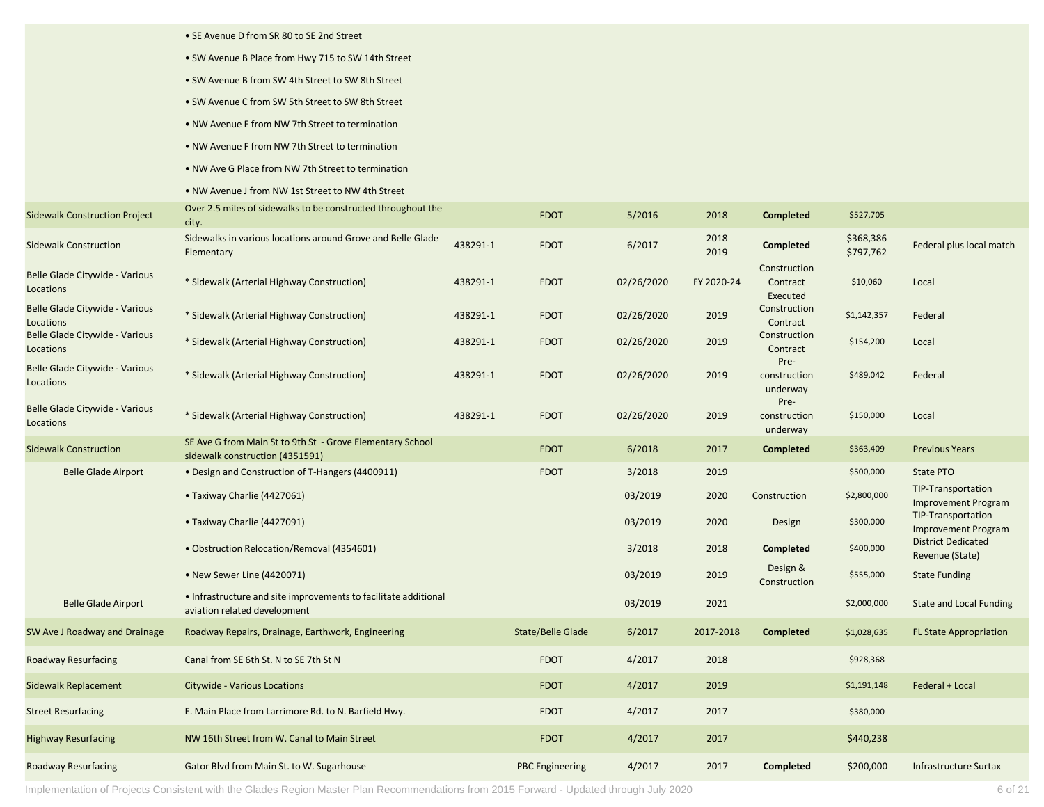|                                             | • SE Avenue D from SR 80 to SE 2nd Street                                                       |          |                        |            |              |                                      |                        |                                                  |
|---------------------------------------------|-------------------------------------------------------------------------------------------------|----------|------------------------|------------|--------------|--------------------------------------|------------------------|--------------------------------------------------|
|                                             | • SW Avenue B Place from Hwy 715 to SW 14th Street                                              |          |                        |            |              |                                      |                        |                                                  |
|                                             | • SW Avenue B from SW 4th Street to SW 8th Street                                               |          |                        |            |              |                                      |                        |                                                  |
|                                             | • SW Avenue C from SW 5th Street to SW 8th Street                                               |          |                        |            |              |                                      |                        |                                                  |
|                                             | . NW Avenue E from NW 7th Street to termination                                                 |          |                        |            |              |                                      |                        |                                                  |
|                                             | • NW Avenue F from NW 7th Street to termination                                                 |          |                        |            |              |                                      |                        |                                                  |
|                                             | • NW Ave G Place from NW 7th Street to termination                                              |          |                        |            |              |                                      |                        |                                                  |
|                                             | . NW Avenue J from NW 1st Street to NW 4th Street                                               |          |                        |            |              |                                      |                        |                                                  |
| <b>Sidewalk Construction Project</b>        | Over 2.5 miles of sidewalks to be constructed throughout the<br>city.                           |          | <b>FDOT</b>            | 5/2016     | 2018         | <b>Completed</b>                     | \$527,705              |                                                  |
| <b>Sidewalk Construction</b>                | Sidewalks in various locations around Grove and Belle Glade<br>Elementary                       | 438291-1 | <b>FDOT</b>            | 6/2017     | 2018<br>2019 | Completed                            | \$368,386<br>\$797,762 | Federal plus local match                         |
| Belle Glade Citywide - Various<br>Locations | * Sidewalk (Arterial Highway Construction)                                                      | 438291-1 | <b>FDOT</b>            | 02/26/2020 | FY 2020-24   | Construction<br>Contract<br>Executed | \$10,060               | Local                                            |
| Belle Glade Citywide - Various<br>Locations | * Sidewalk (Arterial Highway Construction)                                                      | 438291-1 | <b>FDOT</b>            | 02/26/2020 | 2019         | Construction<br>Contract             | \$1,142,357            | Federal                                          |
| Belle Glade Citywide - Various<br>Locations | * Sidewalk (Arterial Highway Construction)                                                      | 438291-1 | <b>FDOT</b>            | 02/26/2020 | 2019         | Construction<br>Contract             | \$154,200              | Local                                            |
| Belle Glade Citywide - Various<br>Locations | * Sidewalk (Arterial Highway Construction)                                                      | 438291-1 | <b>FDOT</b>            | 02/26/2020 | 2019         | Pre-<br>construction<br>underway     | \$489,042              | Federal                                          |
| Belle Glade Citywide - Various<br>Locations | * Sidewalk (Arterial Highway Construction)                                                      | 438291-1 | <b>FDOT</b>            | 02/26/2020 | 2019         | Pre-<br>construction<br>underway     | \$150,000              | Local                                            |
| <b>Sidewalk Construction</b>                | SE Ave G from Main St to 9th St - Grove Elementary School<br>sidewalk construction (4351591)    |          | <b>FDOT</b>            | 6/2018     | 2017         | <b>Completed</b>                     | \$363,409              | <b>Previous Years</b>                            |
| <b>Belle Glade Airport</b>                  | • Design and Construction of T-Hangers (4400911)                                                |          | <b>FDOT</b>            | 3/2018     | 2019         |                                      | \$500,000              | State PTO                                        |
|                                             | • Taxiway Charlie (4427061)                                                                     |          |                        | 03/2019    | 2020         | Construction                         | \$2,800,000            | TIP-Transportation<br><b>Improvement Program</b> |
|                                             | • Taxiway Charlie (4427091)                                                                     |          |                        | 03/2019    | 2020         | Design                               | \$300,000              | TIP-Transportation<br><b>Improvement Program</b> |
|                                             | • Obstruction Relocation/Removal (4354601)                                                      |          |                        | 3/2018     | 2018         | <b>Completed</b>                     | \$400,000              | <b>District Dedicated</b><br>Revenue (State)     |
|                                             | • New Sewer Line (4420071)                                                                      |          |                        | 03/2019    | 2019         | Design &<br>Construction             | \$555,000              | <b>State Funding</b>                             |
| <b>Belle Glade Airport</b>                  | • Infrastructure and site improvements to facilitate additional<br>aviation related development |          |                        | 03/2019    | 2021         |                                      | \$2,000,000            | <b>State and Local Funding</b>                   |
| SW Ave J Roadway and Drainage               | Roadway Repairs, Drainage, Earthwork, Engineering                                               |          | State/Belle Glade      | 6/2017     | 2017-2018    | Completed                            | \$1,028,635            | <b>FL State Appropriation</b>                    |
| <b>Roadway Resurfacing</b>                  | Canal from SE 6th St. N to SE 7th St N                                                          |          | <b>FDOT</b>            | 4/2017     | 2018         |                                      | \$928,368              |                                                  |
| Sidewalk Replacement                        | Citywide - Various Locations                                                                    |          | <b>FDOT</b>            | 4/2017     | 2019         |                                      | \$1,191,148            | Federal + Local                                  |
| <b>Street Resurfacing</b>                   | E. Main Place from Larrimore Rd. to N. Barfield Hwy.                                            |          | <b>FDOT</b>            | 4/2017     | 2017         |                                      | \$380,000              |                                                  |
| <b>Highway Resurfacing</b>                  | NW 16th Street from W. Canal to Main Street                                                     |          | <b>FDOT</b>            | 4/2017     | 2017         |                                      | \$440,238              |                                                  |
| <b>Roadway Resurfacing</b>                  | Gator Blvd from Main St. to W. Sugarhouse                                                       |          | <b>PBC</b> Engineering | 4/2017     | 2017         | <b>Completed</b>                     | \$200,000              | <b>Infrastructure Surtax</b>                     |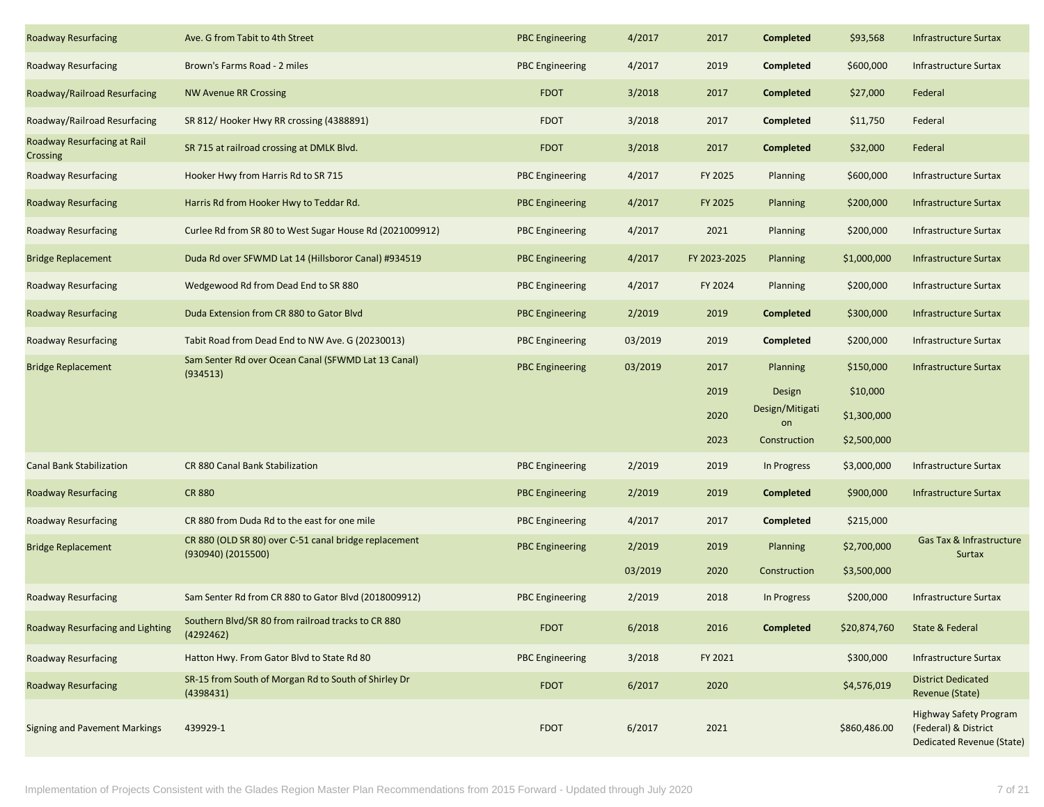| <b>Roadway Resurfacing</b>              | Ave. G from Tabit to 4th Street                                             | <b>PBC Engineering</b> | 4/2017  | 2017         | <b>Completed</b>      | \$93,568     | <b>Infrastructure Surtax</b>                                                              |
|-----------------------------------------|-----------------------------------------------------------------------------|------------------------|---------|--------------|-----------------------|--------------|-------------------------------------------------------------------------------------------|
| <b>Roadway Resurfacing</b>              | Brown's Farms Road - 2 miles                                                | <b>PBC Engineering</b> | 4/2017  | 2019         | <b>Completed</b>      | \$600,000    | Infrastructure Surtax                                                                     |
| Roadway/Railroad Resurfacing            | <b>NW Avenue RR Crossing</b>                                                | <b>FDOT</b>            | 3/2018  | 2017         | <b>Completed</b>      | \$27,000     | Federal                                                                                   |
| Roadway/Railroad Resurfacing            | SR 812/Hooker Hwy RR crossing (4388891)                                     | <b>FDOT</b>            | 3/2018  | 2017         | <b>Completed</b>      | \$11,750     | Federal                                                                                   |
| Roadway Resurfacing at Rail<br>Crossing | SR 715 at railroad crossing at DMLK Blvd.                                   | <b>FDOT</b>            | 3/2018  | 2017         | <b>Completed</b>      | \$32,000     | Federal                                                                                   |
| <b>Roadway Resurfacing</b>              | Hooker Hwy from Harris Rd to SR 715                                         | <b>PBC Engineering</b> | 4/2017  | FY 2025      | Planning              | \$600,000    | <b>Infrastructure Surtax</b>                                                              |
| <b>Roadway Resurfacing</b>              | Harris Rd from Hooker Hwy to Teddar Rd.                                     | <b>PBC Engineering</b> | 4/2017  | FY 2025      | <b>Planning</b>       | \$200,000    | Infrastructure Surtax                                                                     |
| <b>Roadway Resurfacing</b>              | Curlee Rd from SR 80 to West Sugar House Rd (2021009912)                    | <b>PBC Engineering</b> | 4/2017  | 2021         | Planning              | \$200,000    | Infrastructure Surtax                                                                     |
| <b>Bridge Replacement</b>               | Duda Rd over SFWMD Lat 14 (Hillsboror Canal) #934519                        | <b>PBC Engineering</b> | 4/2017  | FY 2023-2025 | <b>Planning</b>       | \$1,000,000  | <b>Infrastructure Surtax</b>                                                              |
| <b>Roadway Resurfacing</b>              | Wedgewood Rd from Dead End to SR 880                                        | <b>PBC Engineering</b> | 4/2017  | FY 2024      | Planning              | \$200,000    | <b>Infrastructure Surtax</b>                                                              |
| <b>Roadway Resurfacing</b>              | Duda Extension from CR 880 to Gator Blvd                                    | <b>PBC Engineering</b> | 2/2019  | 2019         | <b>Completed</b>      | \$300,000    | <b>Infrastructure Surtax</b>                                                              |
| <b>Roadway Resurfacing</b>              | Tabit Road from Dead End to NW Ave. G (20230013)                            | <b>PBC</b> Engineering | 03/2019 | 2019         | <b>Completed</b>      | \$200,000    | Infrastructure Surtax                                                                     |
| <b>Bridge Replacement</b>               | Sam Senter Rd over Ocean Canal (SFWMD Lat 13 Canal)<br>(934513)             | <b>PBC Engineering</b> | 03/2019 | 2017         | <b>Planning</b>       | \$150,000    | <b>Infrastructure Surtax</b>                                                              |
|                                         |                                                                             |                        |         | 2019         | Design                | \$10,000     |                                                                                           |
|                                         |                                                                             |                        |         | 2020         | Design/Mitigati<br>on | \$1,300,000  |                                                                                           |
|                                         |                                                                             |                        |         | 2023         | Construction          | \$2,500,000  |                                                                                           |
| <b>Canal Bank Stabilization</b>         | CR 880 Canal Bank Stabilization                                             | <b>PBC</b> Engineering | 2/2019  | 2019         | In Progress           | \$3,000,000  | Infrastructure Surtax                                                                     |
| <b>Roadway Resurfacing</b>              | <b>CR 880</b>                                                               | <b>PBC Engineering</b> | 2/2019  | 2019         | <b>Completed</b>      | \$900,000    | <b>Infrastructure Surtax</b>                                                              |
| <b>Roadway Resurfacing</b>              | CR 880 from Duda Rd to the east for one mile                                | <b>PBC Engineering</b> | 4/2017  | 2017         | <b>Completed</b>      | \$215,000    |                                                                                           |
| <b>Bridge Replacement</b>               | CR 880 (OLD SR 80) over C-51 canal bridge replacement<br>(930940) (2015500) | <b>PBC Engineering</b> | 2/2019  | 2019         | <b>Planning</b>       | \$2,700,000  | Gas Tax & Infrastructure<br><b>Surtax</b>                                                 |
|                                         |                                                                             |                        | 03/2019 | 2020         | Construction          | \$3,500,000  |                                                                                           |
| <b>Roadway Resurfacing</b>              | Sam Senter Rd from CR 880 to Gator Blvd (2018009912)                        | <b>PBC Engineering</b> | 2/2019  | 2018         | In Progress           | \$200,000    | Infrastructure Surtax                                                                     |
| Roadway Resurfacing and Lighting        | Southern Blvd/SR 80 from railroad tracks to CR 880<br>(4292462)             | <b>FDOT</b>            | 6/2018  | 2016         | Completed             | \$20,874,760 | State & Federal                                                                           |
| <b>Roadway Resurfacing</b>              | Hatton Hwy. From Gator Blvd to State Rd 80                                  | <b>PBC Engineering</b> | 3/2018  | FY 2021      |                       | \$300,000    | <b>Infrastructure Surtax</b>                                                              |
| <b>Roadway Resurfacing</b>              | SR-15 from South of Morgan Rd to South of Shirley Dr<br>(4398431)           | <b>FDOT</b>            | 6/2017  | 2020         |                       | \$4,576,019  | <b>District Dedicated</b><br>Revenue (State)                                              |
| <b>Signing and Pavement Markings</b>    | 439929-1                                                                    | FDOT                   | 6/2017  | 2021         |                       | \$860,486.00 | <b>Highway Safety Program</b><br>(Federal) & District<br><b>Dedicated Revenue (State)</b> |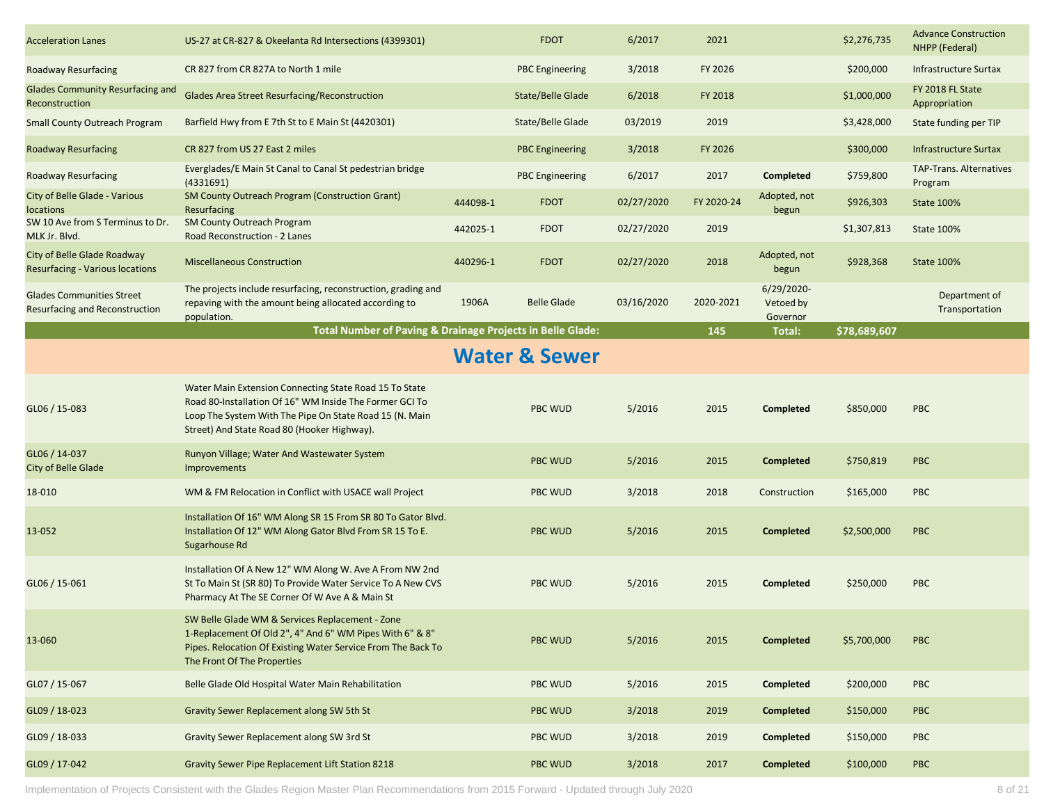| <b>Acceleration Lanes</b>                                             | US-27 at CR-827 & Okeelanta Rd Intersections (4399301)                                                                                                                                                                      |          | <b>FDOT</b>              | 6/2017     | 2021       |                                        | \$2,276,735  | <b>Advance Construction</b><br>NHPP (Federal) |
|-----------------------------------------------------------------------|-----------------------------------------------------------------------------------------------------------------------------------------------------------------------------------------------------------------------------|----------|--------------------------|------------|------------|----------------------------------------|--------------|-----------------------------------------------|
| <b>Roadway Resurfacing</b>                                            | CR 827 from CR 827A to North 1 mile                                                                                                                                                                                         |          | <b>PBC Engineering</b>   | 3/2018     | FY 2026    |                                        | \$200,000    | <b>Infrastructure Surtax</b>                  |
| <b>Glades Community Resurfacing and</b><br>Reconstruction             | <b>Glades Area Street Resurfacing/Reconstruction</b>                                                                                                                                                                        |          | State/Belle Glade        | 6/2018     | FY 2018    |                                        | \$1,000,000  | FY 2018 FL State<br>Appropriation             |
| <b>Small County Outreach Program</b>                                  | Barfield Hwy from E 7th St to E Main St (4420301)                                                                                                                                                                           |          | State/Belle Glade        | 03/2019    | 2019       |                                        | \$3,428,000  | State funding per TIP                         |
| <b>Roadway Resurfacing</b>                                            | CR 827 from US 27 East 2 miles                                                                                                                                                                                              |          | <b>PBC Engineering</b>   | 3/2018     | FY 2026    |                                        | \$300,000    | Infrastructure Surtax                         |
| <b>Roadway Resurfacing</b>                                            | Everglades/E Main St Canal to Canal St pedestrian bridge<br>(4331691)                                                                                                                                                       |          | <b>PBC Engineering</b>   | 6/2017     | 2017       | Completed                              | \$759,800    | <b>TAP-Trans. Alternatives</b><br>Program     |
| City of Belle Glade - Various<br>locations                            | <b>SM County Outreach Program (Construction Grant)</b><br>Resurfacing                                                                                                                                                       | 444098-1 | <b>FDOT</b>              | 02/27/2020 | FY 2020-24 | Adopted, not<br>begun                  | \$926,303    | State 100%                                    |
| SW 10 Ave from S Terminus to Dr.<br>MLK Jr. Blvd.                     | SM County Outreach Program<br>Road Reconstruction - 2 Lanes                                                                                                                                                                 | 442025-1 | <b>FDOT</b>              | 02/27/2020 | 2019       |                                        | \$1,307,813  | State 100%                                    |
| City of Belle Glade Roadway<br><b>Resurfacing - Various locations</b> | <b>Miscellaneous Construction</b>                                                                                                                                                                                           | 440296-1 | <b>FDOT</b>              | 02/27/2020 | 2018       | Adopted, not<br>begun                  | \$928,368    | <b>State 100%</b>                             |
| <b>Glades Communities Street</b><br>Resurfacing and Reconstruction    | The projects include resurfacing, reconstruction, grading and<br>repaving with the amount being allocated according to<br>population.                                                                                       | 1906A    | <b>Belle Glade</b>       | 03/16/2020 | 2020-2021  | $6/29/2020$ -<br>Vetoed by<br>Governor |              | Department of<br>Transportation               |
|                                                                       | Total Number of Paving & Drainage Projects in Belle Glade:                                                                                                                                                                  |          |                          |            | 145        | Total:                                 | \$78,689,607 |                                               |
|                                                                       |                                                                                                                                                                                                                             |          | <b>Water &amp; Sewer</b> |            |            |                                        |              |                                               |
| $GLO6 / 15 - 083$                                                     | Water Main Extension Connecting State Road 15 To State<br>Road 80-Installation Of 16" WM Inside The Former GCI To<br>Loop The System With The Pipe On State Road 15 (N. Main<br>Street) And State Road 80 (Hooker Highway). |          | <b>PBC WUD</b>           | 5/2016     | 2015       | Completed                              | \$850,000    | <b>PBC</b>                                    |
| GL06 / 14-037<br>City of Belle Glade                                  | Runyon Village; Water And Wastewater System<br>Improvements                                                                                                                                                                 |          | <b>PBC WUD</b>           | 5/2016     | 2015       | <b>Completed</b>                       | \$750,819    | <b>PBC</b>                                    |
| 18-010                                                                | WM & FM Relocation in Conflict with USACE wall Project                                                                                                                                                                      |          | <b>PBC WUD</b>           | 3/2018     | 2018       | Construction                           | \$165,000    | <b>PBC</b>                                    |
| 13-052                                                                | Installation Of 16" WM Along SR 15 From SR 80 To Gator Blvd.<br>Installation Of 12" WM Along Gator Blvd From SR 15 To E.<br>Sugarhouse Rd                                                                                   |          | <b>PBC WUD</b>           | 5/2016     | 2015       | Completed                              | \$2,500,000  | <b>PBC</b>                                    |
| GL06 / 15-061                                                         | Installation Of A New 12" WM Along W. Ave A From NW 2nd<br>St To Main St (SR 80) To Provide Water Service To A New CVS<br>Pharmacy At The SE Corner Of W Ave A & Main St                                                    |          | <b>PBC WUD</b>           | 5/2016     | 2015       | <b>Completed</b>                       | \$250,000    | <b>PBC</b>                                    |
| 13-060                                                                | SW Belle Glade WM & Services Replacement - Zone<br>1-Replacement Of Old 2", 4" And 6" WM Pipes With 6" & 8"<br>Pipes. Relocation Of Existing Water Service From The Back To<br>The Front Of The Properties                  |          | <b>PBC WUD</b>           | 5/2016     | 2015       | Completed                              | \$5,700,000  | <b>PBC</b>                                    |
| GL07 / 15-067                                                         | Belle Glade Old Hospital Water Main Rehabilitation                                                                                                                                                                          |          | <b>PBC WUD</b>           | 5/2016     | 2015       | Completed                              | \$200,000    | PBC                                           |
| GL09 / 18-023                                                         | Gravity Sewer Replacement along SW 5th St                                                                                                                                                                                   |          | <b>PBC WUD</b>           | 3/2018     | 2019       | <b>Completed</b>                       | \$150,000    | <b>PBC</b>                                    |
| GL09 / 18-033                                                         | Gravity Sewer Replacement along SW 3rd St                                                                                                                                                                                   |          | <b>PBC WUD</b>           | 3/2018     | 2019       | Completed                              | \$150,000    | <b>PBC</b>                                    |
| GL09 / 17-042                                                         | Gravity Sewer Pipe Replacement Lift Station 8218                                                                                                                                                                            |          | <b>PBC WUD</b>           | 3/2018     | 2017       | <b>Completed</b>                       | \$100,000    | <b>PBC</b>                                    |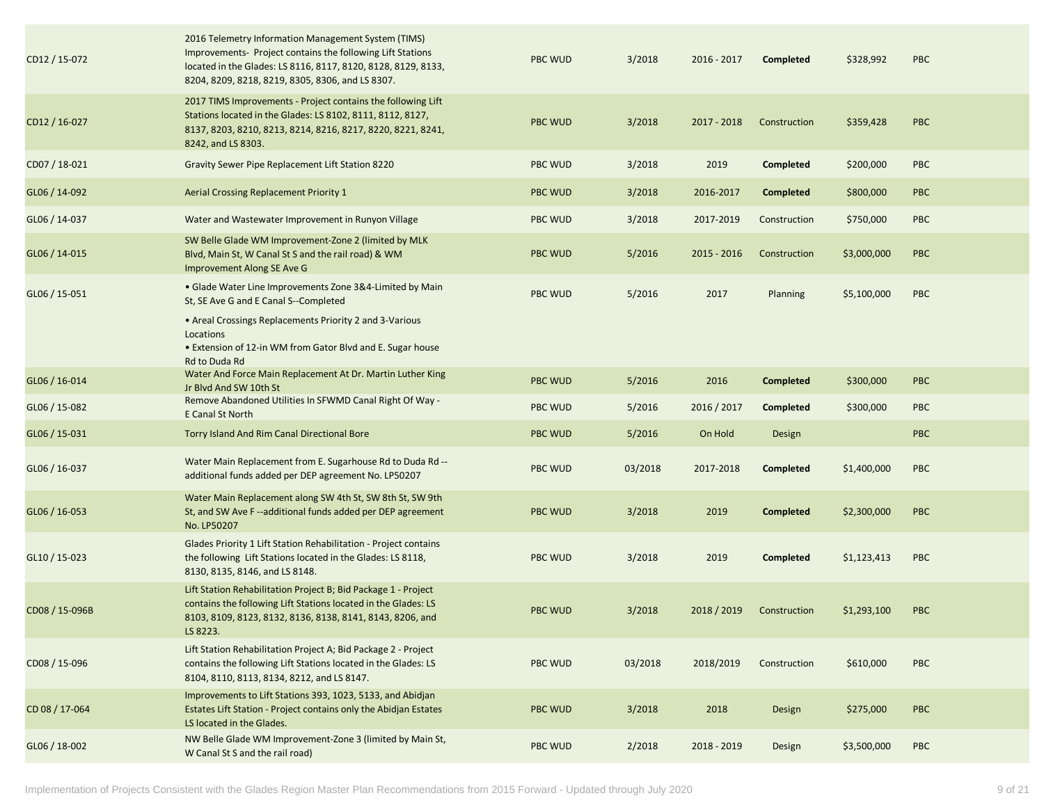| CD12 / 15-072  | 2016 Telemetry Information Management System (TIMS)<br>Improvements- Project contains the following Lift Stations<br>located in the Glades: LS 8116, 8117, 8120, 8128, 8129, 8133,<br>8204, 8209, 8218, 8219, 8305, 8306, and LS 8307. | <b>PBC WUD</b> | 3/2018  | 2016 - 2017 | Completed        | \$328,992   | <b>PBC</b> |
|----------------|----------------------------------------------------------------------------------------------------------------------------------------------------------------------------------------------------------------------------------------|----------------|---------|-------------|------------------|-------------|------------|
| CD12 / 16-027  | 2017 TIMS Improvements - Project contains the following Lift<br>Stations located in the Glades: LS 8102, 8111, 8112, 8127,<br>8137, 8203, 8210, 8213, 8214, 8216, 8217, 8220, 8221, 8241,<br>8242, and LS 8303.                        | <b>PBC WUD</b> | 3/2018  | 2017 - 2018 | Construction     | \$359,428   | <b>PBC</b> |
| CD07 / 18-021  | Gravity Sewer Pipe Replacement Lift Station 8220                                                                                                                                                                                       | <b>PBC WUD</b> | 3/2018  | 2019        | Completed        | \$200,000   | <b>PBC</b> |
| GL06 / 14-092  | Aerial Crossing Replacement Priority 1                                                                                                                                                                                                 | <b>PBC WUD</b> | 3/2018  | 2016-2017   | <b>Completed</b> | \$800,000   | <b>PBC</b> |
| GL06 / 14-037  | Water and Wastewater Improvement in Runyon Village                                                                                                                                                                                     | <b>PBC WUD</b> | 3/2018  | 2017-2019   | Construction     | \$750,000   | <b>PBC</b> |
| GL06 / 14-015  | SW Belle Glade WM Improvement-Zone 2 (limited by MLK<br>Blvd, Main St, W Canal St S and the rail road) & WM<br>Improvement Along SE Ave G                                                                                              | <b>PBC WUD</b> | 5/2016  | 2015 - 2016 | Construction     | \$3,000,000 | <b>PBC</b> |
| GL06 / 15-051  | • Glade Water Line Improvements Zone 3&4-Limited by Main<br>St. SE Ave G and E Canal S--Completed                                                                                                                                      | PBC WUD        | 5/2016  | 2017        | Planning         | \$5,100,000 | <b>PBC</b> |
|                | • Areal Crossings Replacements Priority 2 and 3-Various<br>Locations<br>• Extension of 12-in WM from Gator Blvd and E. Sugar house<br>Rd to Duda Rd                                                                                    |                |         |             |                  |             |            |
| GL06 / 16-014  | Water And Force Main Replacement At Dr. Martin Luther King<br>Jr Blyd And SW 10th St                                                                                                                                                   | <b>PBC WUD</b> | 5/2016  | 2016        | <b>Completed</b> | \$300,000   | <b>PBC</b> |
| GL06 / 15-082  | Remove Abandoned Utilities In SFWMD Canal Right Of Way -<br>E Canal St North                                                                                                                                                           | <b>PBC WUD</b> | 5/2016  | 2016 / 2017 | Completed        | \$300,000   | <b>PBC</b> |
| GL06 / 15-031  | Torry Island And Rim Canal Directional Bore                                                                                                                                                                                            | <b>PBC WUD</b> | 5/2016  | On Hold     | Design           |             | <b>PBC</b> |
| GL06 / 16-037  | Water Main Replacement from E. Sugarhouse Rd to Duda Rd --<br>additional funds added per DEP agreement No. LP50207                                                                                                                     | <b>PBC WUD</b> | 03/2018 | 2017-2018   | Completed        | \$1,400,000 | <b>PBC</b> |
| GL06 / 16-053  | Water Main Replacement along SW 4th St, SW 8th St, SW 9th<br>St, and SW Ave F--additional funds added per DEP agreement<br>No. LP50207                                                                                                 | <b>PBC WUD</b> | 3/2018  | 2019        | <b>Completed</b> | \$2,300,000 | <b>PBC</b> |
| GL10 / 15-023  | Glades Priority 1 Lift Station Rehabilitation - Project contains<br>the following Lift Stations located in the Glades: LS 8118,<br>8130, 8135, 8146, and LS 8148.                                                                      | <b>PBC WUD</b> | 3/2018  | 2019        | <b>Completed</b> | \$1,123,413 | <b>PBC</b> |
| CD08 / 15-096B | Lift Station Rehabilitation Project B; Bid Package 1 - Project<br>contains the following Lift Stations located in the Glades: LS<br>8103, 8109, 8123, 8132, 8136, 8138, 8141, 8143, 8206, and<br>LS 8223.                              | <b>PBC WUD</b> | 3/2018  | 2018 / 2019 | Construction     | \$1,293,100 | <b>PBC</b> |
| CD08 / 15-096  | Lift Station Rehabilitation Project A; Bid Package 2 - Project<br>contains the following Lift Stations located in the Glades: LS<br>8104, 8110, 8113, 8134, 8212, and LS 8147.                                                         | <b>PBC WUD</b> | 03/2018 | 2018/2019   | Construction     | \$610,000   | <b>PBC</b> |
| CD 08 / 17-064 | Improvements to Lift Stations 393, 1023, 5133, and Abidjan<br>Estates Lift Station - Project contains only the Abidjan Estates<br>LS located in the Glades.                                                                            | <b>PBC WUD</b> | 3/2018  | 2018        | Design           | \$275,000   | <b>PBC</b> |
| GL06 / 18-002  | NW Belle Glade WM Improvement-Zone 3 (limited by Main St,<br>W Canal St S and the rail road)                                                                                                                                           | PBC WUD        | 2/2018  | 2018 - 2019 | Design           | \$3,500,000 | <b>PBC</b> |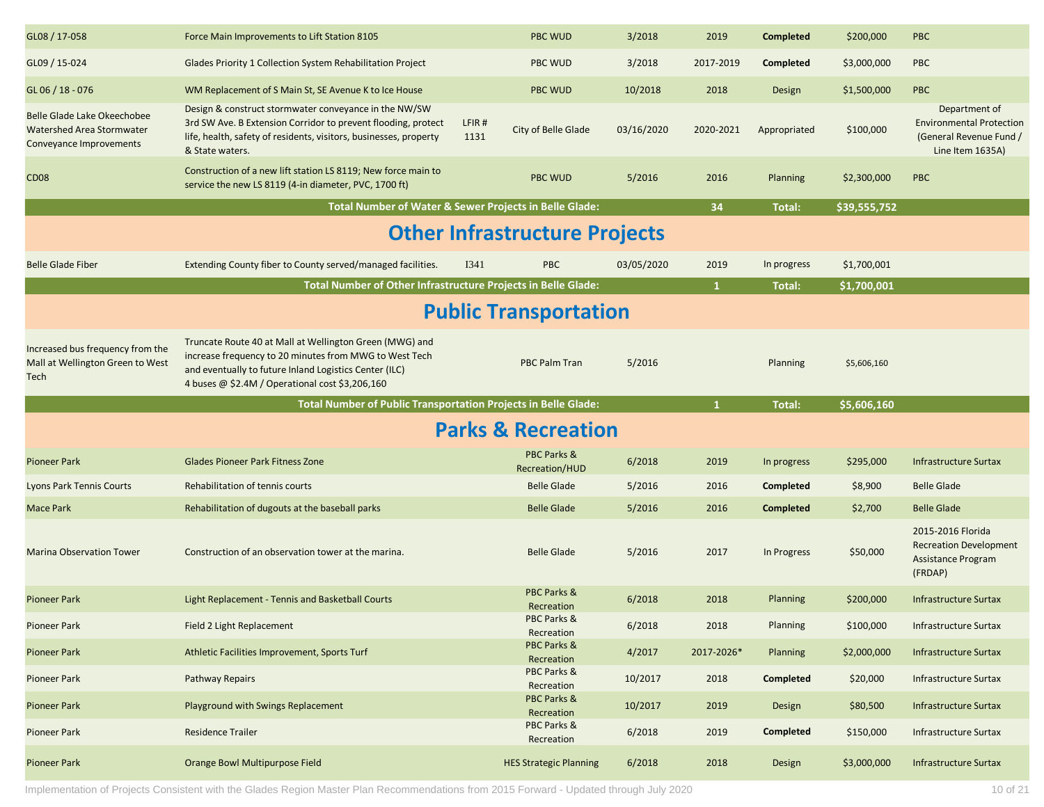| GL08 / 17-058                                                                       | Force Main Improvements to Lift Station 8105                                                                                                                                                                                   |               | <b>PBC WUD</b>                          | 3/2018     | 2019         | <b>Completed</b> | \$200,000    | <b>PBC</b>                                                                                      |  |  |  |
|-------------------------------------------------------------------------------------|--------------------------------------------------------------------------------------------------------------------------------------------------------------------------------------------------------------------------------|---------------|-----------------------------------------|------------|--------------|------------------|--------------|-------------------------------------------------------------------------------------------------|--|--|--|
| GL09 / 15-024                                                                       | Glades Priority 1 Collection System Rehabilitation Project                                                                                                                                                                     |               | PBC WUD                                 | 3/2018     | 2017-2019    | <b>Completed</b> | \$3,000,000  | PBC                                                                                             |  |  |  |
| $GL$ 06 $/$ 18 - 076                                                                | WM Replacement of S Main St, SE Avenue K to Ice House                                                                                                                                                                          |               | <b>PBC WUD</b>                          | 10/2018    | 2018         | Design           | \$1,500,000  | <b>PBC</b>                                                                                      |  |  |  |
| Belle Glade Lake Okeechobee<br>Watershed Area Stormwater<br>Conveyance Improvements | Design & construct stormwater conveyance in the NW/SW<br>3rd SW Ave. B Extension Corridor to prevent flooding, protect<br>life, health, safety of residents, visitors, businesses, property<br>& State waters.                 | LFIR#<br>1131 | City of Belle Glade                     | 03/16/2020 | 2020-2021    | Appropriated     | \$100,000    | Department of<br><b>Environmental Protection</b><br>(General Revenue Fund /<br>Line Item 1635A) |  |  |  |
| CD <sub>08</sub>                                                                    | Construction of a new lift station LS 8119; New force main to<br>service the new LS 8119 (4-in diameter, PVC, 1700 ft)                                                                                                         |               | <b>PBC WUD</b>                          | 5/2016     | 2016         | <b>Planning</b>  | \$2,300,000  | PBC                                                                                             |  |  |  |
|                                                                                     | Total Number of Water & Sewer Projects in Belle Glade:                                                                                                                                                                         |               |                                         |            | 34           | Total:           | \$39,555,752 |                                                                                                 |  |  |  |
| <b>Other Infrastructure Projects</b>                                                |                                                                                                                                                                                                                                |               |                                         |            |              |                  |              |                                                                                                 |  |  |  |
| <b>Belle Glade Fiber</b>                                                            | Extending County fiber to County served/managed facilities.                                                                                                                                                                    | I341          | <b>PBC</b>                              | 03/05/2020 | 2019         | In progress      | \$1,700,001  |                                                                                                 |  |  |  |
|                                                                                     | Total Number of Other Infrastructure Projects in Belle Glade:                                                                                                                                                                  |               |                                         |            | $\mathbf{1}$ | Total:           | \$1,700,001  |                                                                                                 |  |  |  |
|                                                                                     |                                                                                                                                                                                                                                |               | <b>Public Transportation</b>            |            |              |                  |              |                                                                                                 |  |  |  |
| Increased bus frequency from the<br>Mall at Wellington Green to West<br>Tech        | Truncate Route 40 at Mall at Wellington Green (MWG) and<br>increase frequency to 20 minutes from MWG to West Tech<br>and eventually to future Inland Logistics Center (ILC)<br>4 buses @ \$2.4M / Operational cost \$3,206,160 |               | <b>PBC Palm Tran</b>                    | 5/2016     |              | Planning         | \$5,606,160  |                                                                                                 |  |  |  |
|                                                                                     |                                                                                                                                                                                                                                |               |                                         |            |              |                  |              |                                                                                                 |  |  |  |
|                                                                                     | Total Number of Public Transportation Projects in Belle Glade:                                                                                                                                                                 |               |                                         |            | $\mathbf{1}$ | Total:           | \$5,606,160  |                                                                                                 |  |  |  |
|                                                                                     |                                                                                                                                                                                                                                |               | <b>Parks &amp; Recreation</b>           |            |              |                  |              |                                                                                                 |  |  |  |
| <b>Pioneer Park</b>                                                                 | <b>Glades Pioneer Park Fitness Zone</b>                                                                                                                                                                                        |               | PBC Parks &<br>Recreation/HUD           | 6/2018     | 2019         | In progress      | \$295,000    | <b>Infrastructure Surtax</b>                                                                    |  |  |  |
| <b>Lyons Park Tennis Courts</b>                                                     | Rehabilitation of tennis courts                                                                                                                                                                                                |               | <b>Belle Glade</b>                      | 5/2016     | 2016         | Completed        | \$8,900      | <b>Belle Glade</b>                                                                              |  |  |  |
| <b>Mace Park</b>                                                                    | Rehabilitation of dugouts at the baseball parks                                                                                                                                                                                |               | <b>Belle Glade</b>                      | 5/2016     | 2016         | <b>Completed</b> | \$2,700      | <b>Belle Glade</b>                                                                              |  |  |  |
| <b>Marina Observation Tower</b>                                                     | Construction of an observation tower at the marina.                                                                                                                                                                            |               | <b>Belle Glade</b>                      | 5/2016     | 2017         | In Progress      | \$50,000     | 2015-2016 Florida<br><b>Recreation Development</b><br>Assistance Program<br>(FRDAP)             |  |  |  |
| <b>Pioneer Park</b>                                                                 | Light Replacement - Tennis and Basketball Courts                                                                                                                                                                               |               | <b>PBC Parks &amp;</b><br>Recreation    | 6/2018     | 2018         | <b>Planning</b>  | \$200,000    | <b>Infrastructure Surtax</b>                                                                    |  |  |  |
| Pioneer Park                                                                        | Field 2 Light Replacement                                                                                                                                                                                                      |               | PBC Parks &                             | 6/2018     | 2018         | Planning         | \$100,000    | Infrastructure Surtax                                                                           |  |  |  |
| <b>Pioneer Park</b>                                                                 | Athletic Facilities Improvement, Sports Turf                                                                                                                                                                                   |               | Recreation<br>PBC Parks &<br>Recreation | 4/2017     | 2017-2026*   | Planning         | \$2,000,000  | <b>Infrastructure Surtax</b>                                                                    |  |  |  |
| <b>Pioneer Park</b>                                                                 | <b>Pathway Repairs</b>                                                                                                                                                                                                         |               | PBC Parks &<br>Recreation               | 10/2017    | 2018         | Completed        | \$20,000     | <b>Infrastructure Surtax</b>                                                                    |  |  |  |
| <b>Pioneer Park</b>                                                                 | Playground with Swings Replacement                                                                                                                                                                                             |               | PBC Parks &<br>Recreation               | 10/2017    | 2019         | Design           | \$80,500     | Infrastructure Surtax                                                                           |  |  |  |
| <b>Pioneer Park</b>                                                                 | <b>Residence Trailer</b>                                                                                                                                                                                                       |               | PBC Parks &<br>Recreation               | 6/2018     | 2019         | Completed        | \$150,000    | Infrastructure Surtax                                                                           |  |  |  |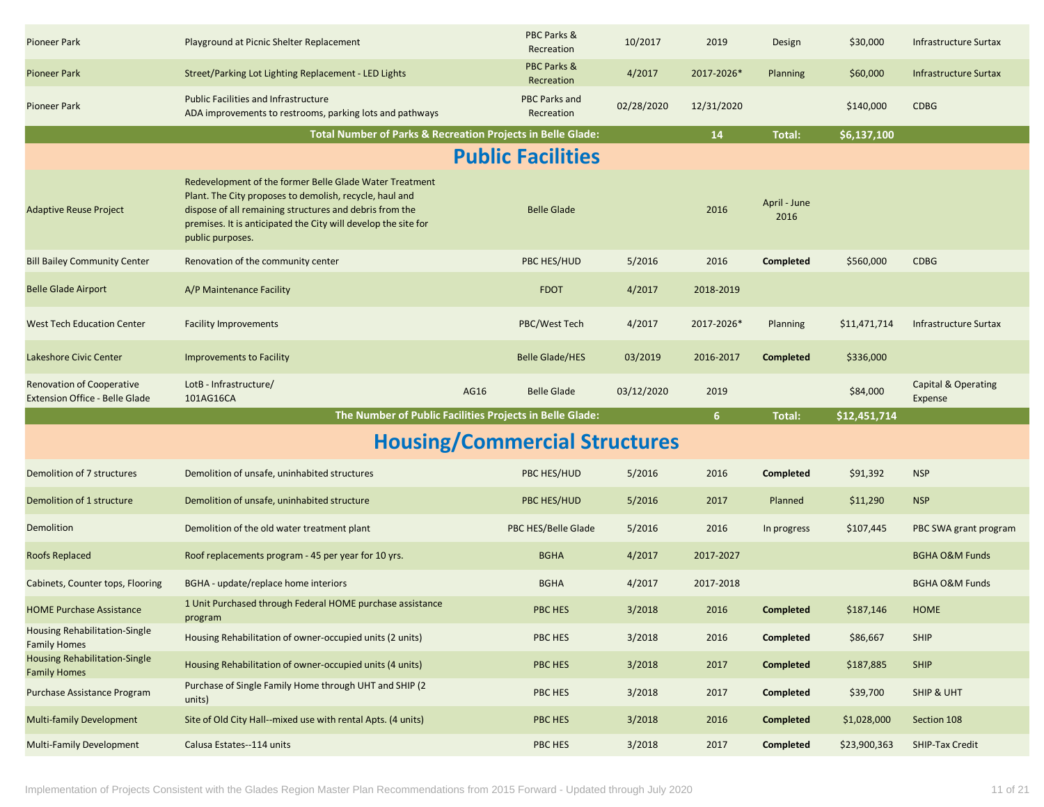| <b>Pioneer Park</b>                                         | Playground at Picnic Shelter Replacement                                                                                                                                                                                                                            | PBC Parks &<br>Recreation                                   | 10/2017    | 2019       | Design               | \$30,000     | Infrastructure Surtax          |
|-------------------------------------------------------------|---------------------------------------------------------------------------------------------------------------------------------------------------------------------------------------------------------------------------------------------------------------------|-------------------------------------------------------------|------------|------------|----------------------|--------------|--------------------------------|
| <b>Pioneer Park</b>                                         | Street/Parking Lot Lighting Replacement - LED Lights                                                                                                                                                                                                                | <b>PBC Parks &amp;</b><br>Recreation                        | 4/2017     | 2017-2026* | <b>Planning</b>      | \$60,000     | Infrastructure Surtax          |
| <b>Pioneer Park</b>                                         | <b>Public Facilities and Infrastructure</b><br>ADA improvements to restrooms, parking lots and pathways                                                                                                                                                             | PBC Parks and<br>Recreation                                 | 02/28/2020 | 12/31/2020 |                      | \$140,000    | <b>CDBG</b>                    |
|                                                             |                                                                                                                                                                                                                                                                     | Total Number of Parks & Recreation Projects in Belle Glade: |            | 14         | Total:               | \$6,137,100  |                                |
|                                                             |                                                                                                                                                                                                                                                                     | <b>Public Facilities</b>                                    |            |            |                      |              |                                |
| <b>Adaptive Reuse Project</b>                               | Redevelopment of the former Belle Glade Water Treatment<br>Plant. The City proposes to demolish, recycle, haul and<br>dispose of all remaining structures and debris from the<br>premises. It is anticipated the City will develop the site for<br>public purposes. | <b>Belle Glade</b>                                          |            | 2016       | April - June<br>2016 |              |                                |
| <b>Bill Bailey Community Center</b>                         | Renovation of the community center                                                                                                                                                                                                                                  | PBC HES/HUD                                                 | 5/2016     | 2016       | <b>Completed</b>     | \$560,000    | <b>CDBG</b>                    |
| Belle Glade Airport                                         | A/P Maintenance Facility                                                                                                                                                                                                                                            | <b>FDOT</b>                                                 | 4/2017     | 2018-2019  |                      |              |                                |
| <b>West Tech Education Center</b>                           | <b>Facility Improvements</b>                                                                                                                                                                                                                                        | PBC/West Tech                                               | 4/2017     | 2017-2026* | Planning             | \$11,471,714 | Infrastructure Surtax          |
| Lakeshore Civic Center                                      | <b>Improvements to Facility</b>                                                                                                                                                                                                                                     | <b>Belle Glade/HES</b>                                      | 03/2019    | 2016-2017  | Completed            | \$336,000    |                                |
| <b>Renovation of Cooperative</b>                            | LotB - Infrastructure/                                                                                                                                                                                                                                              |                                                             |            |            |                      |              | <b>Capital &amp; Operating</b> |
| <b>Extension Office - Belle Glade</b>                       | 101AG16CA                                                                                                                                                                                                                                                           | AG16<br><b>Belle Glade</b>                                  | 03/12/2020 | 2019       |                      | \$84,000     | Expense                        |
|                                                             |                                                                                                                                                                                                                                                                     | The Number of Public Facilities Projects in Belle Glade:    |            | 6          | <b>Total:</b>        | \$12,451,714 |                                |
|                                                             |                                                                                                                                                                                                                                                                     | <b>Housing/Commercial Structures</b>                        |            |            |                      |              |                                |
| Demolition of 7 structures                                  | Demolition of unsafe, uninhabited structures                                                                                                                                                                                                                        | PBC HES/HUD                                                 | 5/2016     | 2016       | Completed            | \$91,392     | <b>NSP</b>                     |
| Demolition of 1 structure                                   | Demolition of unsafe, uninhabited structure                                                                                                                                                                                                                         | PBC HES/HUD                                                 | 5/2016     | 2017       | Planned              | \$11,290     | <b>NSP</b>                     |
| Demolition                                                  | Demolition of the old water treatment plant                                                                                                                                                                                                                         | PBC HES/Belle Glade                                         | 5/2016     | 2016       | In progress          | \$107,445    | PBC SWA grant program          |
| <b>Roofs Replaced</b>                                       | Roof replacements program - 45 per year for 10 yrs.                                                                                                                                                                                                                 | <b>BGHA</b>                                                 | 4/2017     | 2017-2027  |                      |              | <b>BGHA O&amp;M Funds</b>      |
| Cabinets, Counter tops, Flooring                            | BGHA - update/replace home interiors                                                                                                                                                                                                                                | <b>BGHA</b>                                                 | 4/2017     | 2017-2018  |                      |              | <b>BGHA O&amp;M Funds</b>      |
| <b>HOME Purchase Assistance</b>                             | 1 Unit Purchased through Federal HOME purchase assistance<br>program                                                                                                                                                                                                | <b>PBC HES</b>                                              | 3/2018     | 2016       | <b>Completed</b>     | \$187,146    | <b>HOME</b>                    |
| <b>Housing Rehabilitation-Single</b><br><b>Family Homes</b> | Housing Rehabilitation of owner-occupied units (2 units)                                                                                                                                                                                                            | PBC HES                                                     | 3/2018     | 2016       | Completed            | \$86,667     | <b>SHIP</b>                    |
| <b>Housing Rehabilitation-Single</b><br><b>Family Homes</b> | Housing Rehabilitation of owner-occupied units (4 units)                                                                                                                                                                                                            | PBC HES                                                     | 3/2018     | 2017       | <b>Completed</b>     | \$187,885    | <b>SHIP</b>                    |
| Purchase Assistance Program                                 | Purchase of Single Family Home through UHT and SHIP (2)<br>units)                                                                                                                                                                                                   | PBC HES                                                     | 3/2018     | 2017       | Completed            | \$39,700     | SHIP & UHT                     |
| <b>Multi-family Development</b>                             | Site of Old City Hall--mixed use with rental Apts. (4 units)                                                                                                                                                                                                        | PBC HES                                                     | 3/2018     | 2016       | <b>Completed</b>     | \$1,028,000  | Section 108                    |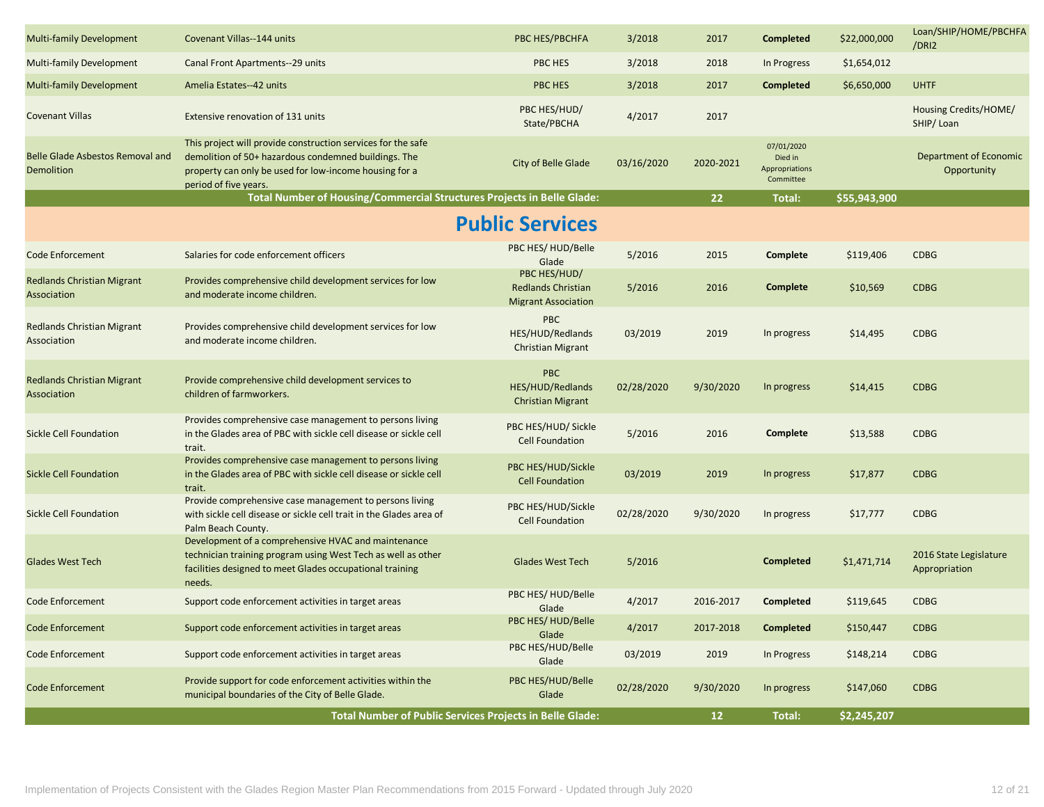| <b>Multi-family Development</b>                       | Covenant Villas--144 units                                                                                                                                                                              | PBC HES/PBCHFA                                                          | 3/2018     | 2017            | <b>Completed</b>                                     | \$22,000,000 | Loan/SHIP/HOME/PBCHFA<br>/DRI2          |
|-------------------------------------------------------|---------------------------------------------------------------------------------------------------------------------------------------------------------------------------------------------------------|-------------------------------------------------------------------------|------------|-----------------|------------------------------------------------------|--------------|-----------------------------------------|
| <b>Multi-family Development</b>                       | Canal Front Apartments--29 units                                                                                                                                                                        | PBC HES                                                                 | 3/2018     | 2018            | In Progress                                          | \$1,654,012  |                                         |
| <b>Multi-family Development</b>                       | Amelia Estates--42 units                                                                                                                                                                                | <b>PBC HES</b>                                                          | 3/2018     | 2017            | <b>Completed</b>                                     | \$6,650,000  | <b>UHTF</b>                             |
| <b>Covenant Villas</b>                                | Extensive renovation of 131 units                                                                                                                                                                       | PBC HES/HUD/<br>State/PBCHA                                             | 4/2017     | 2017            |                                                      |              | Housing Credits/HOME/<br>SHIP/Loan      |
| <b>Belle Glade Asbestos Removal and</b><br>Demolition | This project will provide construction services for the safe<br>demolition of 50+ hazardous condemned buildings. The<br>property can only be used for low-income housing for a<br>period of five years. | City of Belle Glade                                                     | 03/16/2020 | 2020-2021       | 07/01/2020<br>Died in<br>Appropriations<br>Committee |              | Department of Economic<br>Opportunity   |
|                                                       | Total Number of Housing/Commercial Structures Projects in Belle Glade:                                                                                                                                  |                                                                         |            | 22 <sub>2</sub> | Total:                                               | \$55,943,900 |                                         |
|                                                       |                                                                                                                                                                                                         | <b>Public Services</b>                                                  |            |                 |                                                      |              |                                         |
| <b>Code Enforcement</b>                               | Salaries for code enforcement officers                                                                                                                                                                  | PBC HES/HUD/Belle<br>Glade                                              | 5/2016     | 2015            | Complete                                             | \$119,406    | <b>CDBG</b>                             |
| <b>Redlands Christian Migrant</b><br>Association      | Provides comprehensive child development services for low<br>and moderate income children.                                                                                                              | PBC HES/HUD/<br><b>Redlands Christian</b><br><b>Migrant Association</b> | 5/2016     | 2016            | Complete                                             | \$10,569     | <b>CDBG</b>                             |
| <b>Redlands Christian Migrant</b><br>Association      | Provides comprehensive child development services for low<br>and moderate income children.                                                                                                              | <b>PBC</b><br>HES/HUD/Redlands<br><b>Christian Migrant</b>              | 03/2019    | 2019            | In progress                                          | \$14,495     | <b>CDBG</b>                             |
| <b>Redlands Christian Migrant</b><br>Association      | Provide comprehensive child development services to<br>children of farmworkers.                                                                                                                         | <b>PBC</b><br>HES/HUD/Redlands<br><b>Christian Migrant</b>              | 02/28/2020 | 9/30/2020       | In progress                                          | \$14,415     | <b>CDBG</b>                             |
| <b>Sickle Cell Foundation</b>                         | Provides comprehensive case management to persons living<br>in the Glades area of PBC with sickle cell disease or sickle cell<br>trait.                                                                 | PBC HES/HUD/ Sickle<br><b>Cell Foundation</b>                           | 5/2016     | 2016            | Complete                                             | \$13,588     | <b>CDBG</b>                             |
| <b>Sickle Cell Foundation</b>                         | Provides comprehensive case management to persons living<br>in the Glades area of PBC with sickle cell disease or sickle cell<br>trait.                                                                 | PBC HES/HUD/Sickle<br><b>Cell Foundation</b>                            | 03/2019    | 2019            | In progress                                          | \$17,877     | <b>CDBG</b>                             |
| Sickle Cell Foundation                                | Provide comprehensive case management to persons living<br>with sickle cell disease or sickle cell trait in the Glades area of<br>Palm Beach County.                                                    | PBC HES/HUD/Sickle<br><b>Cell Foundation</b>                            | 02/28/2020 | 9/30/2020       | In progress                                          | \$17,777     | <b>CDBG</b>                             |
| <b>Glades West Tech</b>                               | Development of a comprehensive HVAC and maintenance<br>technician training program using West Tech as well as other<br>facilities designed to meet Glades occupational training<br>needs.               | <b>Glades West Tech</b>                                                 | 5/2016     |                 | <b>Completed</b>                                     | \$1,471,714  | 2016 State Legislature<br>Appropriation |
| <b>Code Enforcement</b>                               | Support code enforcement activities in target areas                                                                                                                                                     | PBC HES/HUD/Belle<br>Glade                                              | 4/2017     | 2016-2017       | Completed                                            | \$119,645    | <b>CDBG</b>                             |
| <b>Code Enforcement</b>                               | Support code enforcement activities in target areas                                                                                                                                                     | PBC HES/HUD/Belle<br>Glade                                              | 4/2017     | 2017-2018       | <b>Completed</b>                                     | \$150,447    | <b>CDBG</b>                             |
| <b>Code Enforcement</b>                               | Support code enforcement activities in target areas                                                                                                                                                     | PBC HES/HUD/Belle<br>Glade                                              | 03/2019    | 2019            | In Progress                                          | \$148,214    | <b>CDBG</b>                             |
| <b>Code Enforcement</b>                               | Provide support for code enforcement activities within the<br>municipal boundaries of the City of Belle Glade.                                                                                          | PBC HES/HUD/Belle<br>Glade                                              | 02/28/2020 | 9/30/2020       | In progress                                          | \$147,060    | <b>CDBG</b>                             |
|                                                       |                                                                                                                                                                                                         | Total Number of Public Services Projects in Belle Glade:                |            | 12 <sub>1</sub> | Total:                                               | \$2,245,207  |                                         |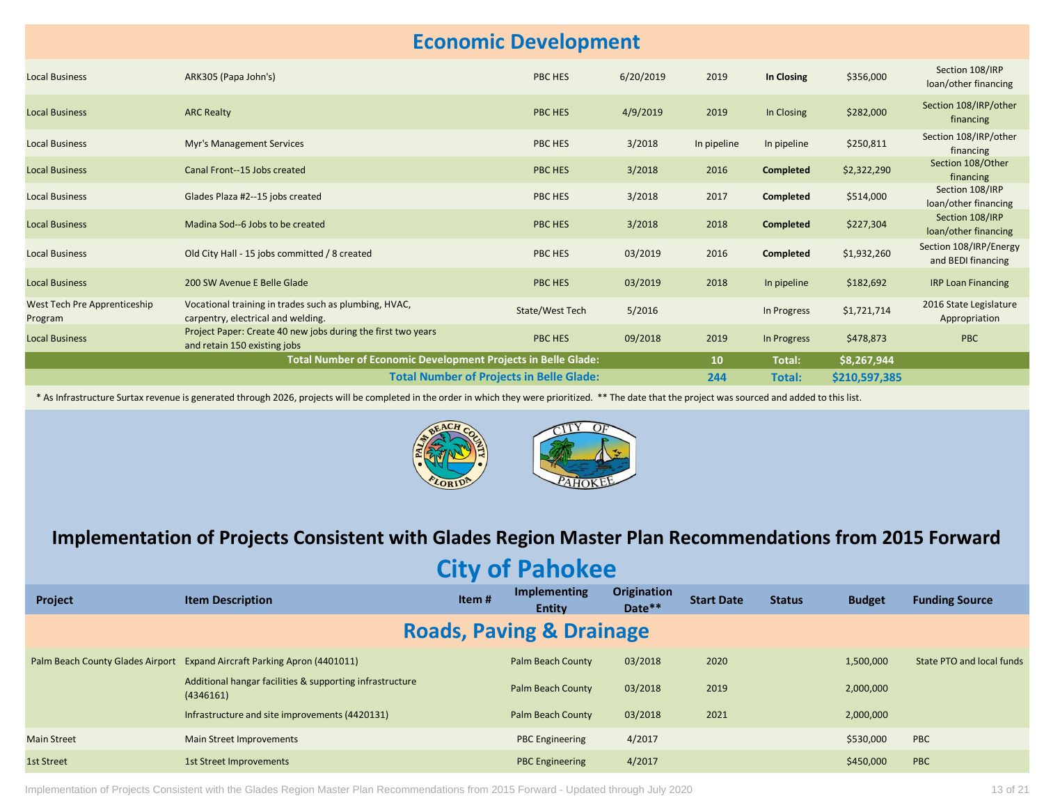### **Economic Development**

| <b>Local Business</b>                   | ARK305 (Papa John's)                                                                         | PBC HES                                         | 6/20/2019 | 2019            | In Closing       | \$356,000     | Section 108/IRP<br>loan/other financing      |
|-----------------------------------------|----------------------------------------------------------------------------------------------|-------------------------------------------------|-----------|-----------------|------------------|---------------|----------------------------------------------|
| <b>Local Business</b>                   | <b>ARC Realty</b>                                                                            | PBC HES                                         | 4/9/2019  | 2019            | In Closing       | \$282,000     | Section 108/IRP/other<br>financing           |
| <b>Local Business</b>                   | <b>Myr's Management Services</b>                                                             | PBC HES                                         | 3/2018    | In pipeline     | In pipeline      | \$250,811     | Section 108/IRP/other<br>financing           |
| <b>Local Business</b>                   | Canal Front--15 Jobs created                                                                 | PBC HES                                         | 3/2018    | 2016            | <b>Completed</b> | \$2,322,290   | Section 108/Other<br>financing               |
| <b>Local Business</b>                   | Glades Plaza #2--15 jobs created                                                             | PBC HES                                         | 3/2018    | 2017            | <b>Completed</b> | \$514,000     | Section 108/IRP<br>loan/other financing      |
| <b>Local Business</b>                   | Madina Sod--6 Jobs to be created                                                             | PBC HES                                         | 3/2018    | 2018            | <b>Completed</b> | \$227,304     | Section 108/IRP<br>loan/other financing      |
| <b>Local Business</b>                   | Old City Hall - 15 jobs committed / 8 created                                                | PBC HES                                         | 03/2019   | 2016            | <b>Completed</b> | \$1,932,260   | Section 108/IRP/Energy<br>and BEDI financing |
| <b>Local Business</b>                   | 200 SW Avenue E Belle Glade                                                                  | PBC HES                                         | 03/2019   | 2018            | In pipeline      | \$182,692     | <b>IRP Loan Financing</b>                    |
| West Tech Pre Apprenticeship<br>Program | Vocational training in trades such as plumbing, HVAC,<br>carpentry, electrical and welding.  | State/West Tech                                 | 5/2016    |                 | In Progress      | \$1,721,714   | 2016 State Legislature<br>Appropriation      |
| <b>Local Business</b>                   | Project Paper: Create 40 new jobs during the first two years<br>and retain 150 existing jobs | PBC HES                                         | 09/2018   | 2019            | In Progress      | \$478,873     | <b>PBC</b>                                   |
|                                         | Total Number of Economic Development Projects in Belle Glade:                                |                                                 |           | 10 <sup>°</sup> | Total:           | \$8,267,944   |                                              |
|                                         |                                                                                              | <b>Total Number of Projects in Belle Glade:</b> |           | 244             | Total:           | \$210,597,385 |                                              |

\* As Infrastructure Surtax revenue is generated through 2026, projects will be completed in the order in which they were prioritized. \*\* The date that the project was sourced and added to this list.



#### **Implementation of Projects Consistent with Glades Region Master Plan Recommendations from 2015 Forward**

**City of Pahokee**

| Project                             | <b>Item Description</b>                                                  | Item# | <b>Implementing</b><br><b>Entity</b> | <b>Origination</b><br>Date** | <b>Start Date</b> | <b>Status</b> | <b>Budget</b> | <b>Funding Source</b>     |  |
|-------------------------------------|--------------------------------------------------------------------------|-------|--------------------------------------|------------------------------|-------------------|---------------|---------------|---------------------------|--|
| <b>Roads, Paving &amp; Drainage</b> |                                                                          |       |                                      |                              |                   |               |               |                           |  |
|                                     | Palm Beach County Glades Airport Expand Aircraft Parking Apron (4401011) |       | Palm Beach County                    | 03/2018                      | 2020              |               | 1,500,000     | State PTO and local funds |  |
|                                     | Additional hangar facilities & supporting infrastructure<br>(4346161)    |       | Palm Beach County                    | 03/2018                      | 2019              |               | 2,000,000     |                           |  |
|                                     | Infrastructure and site improvements (4420131)                           |       | Palm Beach County                    | 03/2018                      | 2021              |               | 2,000,000     |                           |  |
| <b>Main Street</b>                  | Main Street Improvements                                                 |       | <b>PBC Engineering</b>               | 4/2017                       |                   |               | \$530,000     | PBC                       |  |
| 1st Street                          | 1st Street Improvements                                                  |       | <b>PBC Engineering</b>               | 4/2017                       |                   |               | \$450,000     | PBC                       |  |

Implementation of Projects Consistent with the Glades Region Master Plan Recommendations from 2015 Forward - Updated through July 2020 13 of 21 01 2016 Forward - Updated through July 2020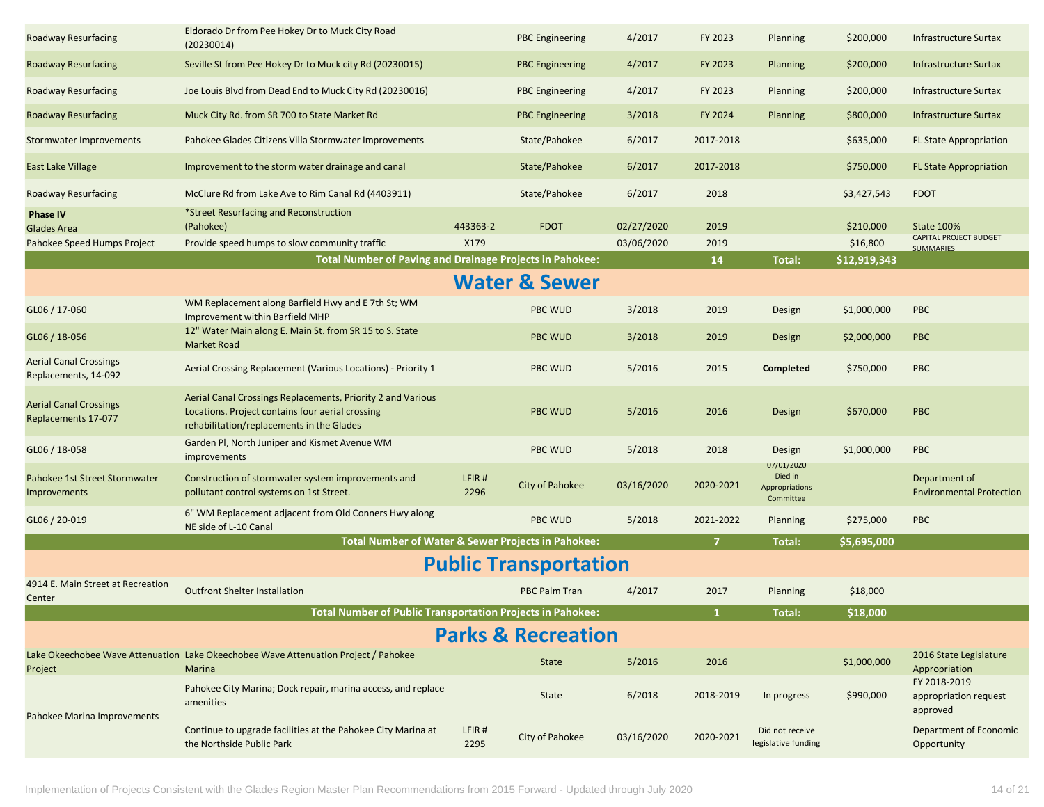| <b>Roadway Resurfacing</b>                            | Eldorado Dr from Pee Hokey Dr to Muck City Road<br>(20230014)                                                                                                |               | <b>PBC Engineering</b>        | 4/2017     | FY 2023        | Planning                                                    | \$200,000    | <b>Infrastructure Surtax</b>                      |
|-------------------------------------------------------|--------------------------------------------------------------------------------------------------------------------------------------------------------------|---------------|-------------------------------|------------|----------------|-------------------------------------------------------------|--------------|---------------------------------------------------|
| Roadway Resurfacing                                   | Seville St from Pee Hokey Dr to Muck city Rd (20230015)                                                                                                      |               | <b>PBC Engineering</b>        | 4/2017     | FY 2023        | Planning                                                    | \$200,000    | <b>Infrastructure Surtax</b>                      |
| <b>Roadway Resurfacing</b>                            | Joe Louis Blvd from Dead End to Muck City Rd (20230016)                                                                                                      |               | <b>PBC Engineering</b>        | 4/2017     | FY 2023        | Planning                                                    | \$200,000    | Infrastructure Surtax                             |
| <b>Roadway Resurfacing</b>                            | Muck City Rd. from SR 700 to State Market Rd                                                                                                                 |               | <b>PBC Engineering</b>        | 3/2018     | FY 2024        | Planning                                                    | \$800,000    | <b>Infrastructure Surtax</b>                      |
| Stormwater Improvements                               | Pahokee Glades Citizens Villa Stormwater Improvements                                                                                                        |               | State/Pahokee                 | 6/2017     | 2017-2018      |                                                             | \$635,000    | <b>FL State Appropriation</b>                     |
| <b>East Lake Village</b>                              | Improvement to the storm water drainage and canal                                                                                                            |               | State/Pahokee                 | 6/2017     | 2017-2018      |                                                             | \$750,000    | <b>FL State Appropriation</b>                     |
| <b>Roadway Resurfacing</b>                            | McClure Rd from Lake Ave to Rim Canal Rd (4403911)                                                                                                           |               | State/Pahokee                 | 6/2017     | 2018           |                                                             | \$3,427,543  | <b>FDOT</b>                                       |
| <b>Phase IV</b><br>Glades Area                        | *Street Resurfacing and Reconstruction<br>(Pahokee)                                                                                                          | 443363-2      | <b>FDOT</b>                   | 02/27/2020 | 2019           |                                                             | \$210,000    | <b>State 100%</b>                                 |
| Pahokee Speed Humps Project                           | Provide speed humps to slow community traffic                                                                                                                | X179          |                               | 03/06/2020 | 2019           |                                                             | \$16,800     | <b>CAPITAL PROJECT BUDGET</b><br><b>SUMMARIES</b> |
|                                                       | Total Number of Paving and Drainage Projects in Pahokee:                                                                                                     |               |                               |            | 14             | Total:                                                      | \$12,919,343 |                                                   |
|                                                       |                                                                                                                                                              |               | <b>Water &amp; Sewer</b>      |            |                |                                                             |              |                                                   |
| GL06 / 17-060                                         | WM Replacement along Barfield Hwy and E 7th St; WM<br>Improvement within Barfield MHP                                                                        |               | <b>PBC WUD</b>                | 3/2018     | 2019           | Design                                                      | \$1,000,000  | <b>PBC</b>                                        |
| GL06 / 18-056                                         | 12" Water Main along E. Main St. from SR 15 to S. State<br><b>Market Road</b>                                                                                |               | <b>PBC WUD</b>                | 3/2018     | 2019           | Design                                                      | \$2,000,000  | <b>PBC</b>                                        |
| <b>Aerial Canal Crossings</b><br>Replacements, 14-092 | Aerial Crossing Replacement (Various Locations) - Priority 1                                                                                                 |               | PBC WUD                       | 5/2016     | 2015           | Completed                                                   | \$750,000    | PBC                                               |
| <b>Aerial Canal Crossings</b><br>Replacements 17-077  | Aerial Canal Crossings Replacements, Priority 2 and Various<br>Locations. Project contains four aerial crossing<br>rehabilitation/replacements in the Glades |               | <b>PBC WUD</b>                | 5/2016     | 2016           | Design                                                      | \$670,000    | <b>PBC</b>                                        |
| GL06 / 18-058                                         | Garden Pl, North Juniper and Kismet Avenue WM<br>improvements                                                                                                |               | PBC WUD                       | 5/2018     | 2018           | Design                                                      | \$1,000,000  | <b>PBC</b>                                        |
| Pahokee 1st Street Stormwater<br><b>Improvements</b>  | Construction of stormwater system improvements and<br>pollutant control systems on 1st Street.                                                               | LFIR#<br>2296 | City of Pahokee               | 03/16/2020 | 2020-2021      | 07/01/2020<br>Died in<br><b>Appropriations</b><br>Committee |              | Department of<br><b>Environmental Protection</b>  |
| GL06 / 20-019                                         | 6" WM Replacement adjacent from Old Conners Hwy along<br>NE side of L-10 Canal                                                                               |               | <b>PBC WUD</b>                | 5/2018     | 2021-2022      | Planning                                                    | \$275,000    | <b>PBC</b>                                        |
|                                                       | Total Number of Water & Sewer Projects in Pahokee:                                                                                                           |               |                               |            | $\overline{z}$ | Total:                                                      | \$5,695,000  |                                                   |
|                                                       |                                                                                                                                                              |               | <b>Public Transportation</b>  |            |                |                                                             |              |                                                   |
| 4914 E. Main Street at Recreation<br>Center           | <b>Outfront Shelter Installation</b>                                                                                                                         |               | <b>PBC Palm Tran</b>          | 4/2017     | 2017           | Planning                                                    | \$18,000     |                                                   |
|                                                       | <b>Total Number of Public Transportation Projects in Pahokee:</b>                                                                                            |               |                               |            | -1             | Total:                                                      | \$18,000     |                                                   |
|                                                       |                                                                                                                                                              |               | <b>Parks &amp; Recreation</b> |            |                |                                                             |              |                                                   |
| Project                                               | Lake Okeechobee Wave Attenuation Lake Okeechobee Wave Attenuation Project / Pahokee<br>Marina                                                                |               | State                         | 5/2016     | 2016           |                                                             | \$1,000,000  | 2016 State Legislature<br>Appropriation           |
| Pahokee Marina Improvements                           | Pahokee City Marina; Dock repair, marina access, and replace<br>amenities                                                                                    |               | State                         | 6/2018     | 2018-2019      | In progress                                                 | \$990,000    | FY 2018-2019<br>appropriation request<br>approved |
|                                                       | Continue to upgrade facilities at the Pahokee City Marina at<br>the Northside Public Park                                                                    | LFIR#<br>2295 | City of Pahokee               | 03/16/2020 | 2020-2021      | Did not receive<br>legislative funding                      |              | Department of Economic<br>Opportunity             |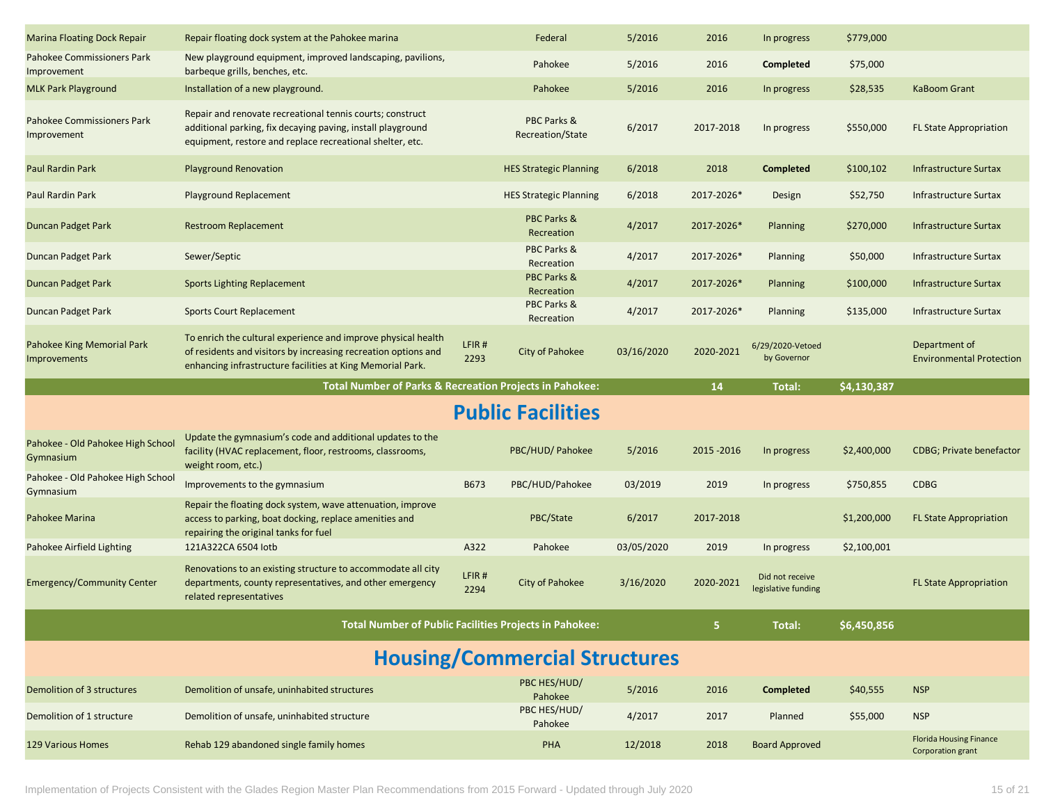| <b>Marina Floating Dock Repair</b>               | Repair floating dock system at the Pahokee marina                                                                                                                                             |               | Federal                              | 5/2016     | 2016        | In progress                            | \$779,000   |                                                  |
|--------------------------------------------------|-----------------------------------------------------------------------------------------------------------------------------------------------------------------------------------------------|---------------|--------------------------------------|------------|-------------|----------------------------------------|-------------|--------------------------------------------------|
| <b>Pahokee Commissioners Park</b><br>Improvement | New playground equipment, improved landscaping, pavilions,<br>barbeque grills, benches, etc.                                                                                                  |               | Pahokee                              | 5/2016     | 2016        | Completed                              | \$75,000    |                                                  |
| <b>MLK Park Playground</b>                       | Installation of a new playground.                                                                                                                                                             |               | Pahokee                              | 5/2016     | 2016        | In progress                            | \$28,535    | <b>KaBoom Grant</b>                              |
| Pahokee Commissioners Park<br>Improvement        | Repair and renovate recreational tennis courts; construct<br>additional parking, fix decaying paving, install playground<br>equipment, restore and replace recreational shelter, etc.         |               | PBC Parks &<br>Recreation/State      | 6/2017     | 2017-2018   | In progress                            | \$550,000   | <b>FL State Appropriation</b>                    |
| <b>Paul Rardin Park</b>                          | <b>Playground Renovation</b>                                                                                                                                                                  |               | <b>HES Strategic Planning</b>        | 6/2018     | 2018        | <b>Completed</b>                       | \$100,102   | Infrastructure Surtax                            |
| <b>Paul Rardin Park</b>                          | Playground Replacement                                                                                                                                                                        |               | <b>HES Strategic Planning</b>        | 6/2018     | 2017-2026*  | Design                                 | \$52,750    | Infrastructure Surtax                            |
| Duncan Padget Park                               | <b>Restroom Replacement</b>                                                                                                                                                                   |               | PBC Parks &<br>Recreation            | 4/2017     | 2017-2026*  | <b>Planning</b>                        | \$270,000   | Infrastructure Surtax                            |
| Duncan Padget Park                               | Sewer/Septic                                                                                                                                                                                  |               | PBC Parks &<br>Recreation            | 4/2017     | 2017-2026*  | Planning                               | \$50,000    | Infrastructure Surtax                            |
| Duncan Padget Park                               | <b>Sports Lighting Replacement</b>                                                                                                                                                            |               | <b>PBC Parks &amp;</b><br>Recreation | 4/2017     | 2017-2026*  | Planning                               | \$100,000   | Infrastructure Surtax                            |
| Duncan Padget Park                               | <b>Sports Court Replacement</b>                                                                                                                                                               |               | PBC Parks &<br>Recreation            | 4/2017     | 2017-2026*  | Planning                               | \$135,000   | Infrastructure Surtax                            |
| Pahokee King Memorial Park<br>Improvements       | To enrich the cultural experience and improve physical health<br>of residents and visitors by increasing recreation options and<br>enhancing infrastructure facilities at King Memorial Park. | LFIR#<br>2293 | City of Pahokee                      | 03/16/2020 | 2020-2021   | 6/29/2020-Vetoed<br>by Governor        |             | Department of<br><b>Environmental Protection</b> |
|                                                  | <b>Total Number of Parks &amp; Recreation Projects in Pahokee:</b>                                                                                                                            |               |                                      |            | 14          | Total:                                 | \$4,130,387 |                                                  |
|                                                  |                                                                                                                                                                                               |               |                                      |            |             |                                        |             |                                                  |
|                                                  |                                                                                                                                                                                               |               | <b>Public Facilities</b>             |            |             |                                        |             |                                                  |
| Pahokee - Old Pahokee High School<br>Gymnasium   | Update the gymnasium's code and additional updates to the<br>facility (HVAC replacement, floor, restrooms, classrooms,<br>weight room, etc.)                                                  |               | PBC/HUD/ Pahokee                     | 5/2016     | 2015 - 2016 | In progress                            | \$2,400,000 | <b>CDBG</b> ; Private benefactor                 |
| Pahokee - Old Pahokee High School<br>Gymnasium   | Improvements to the gymnasium                                                                                                                                                                 | B673          | PBC/HUD/Pahokee                      | 03/2019    | 2019        | In progress                            | \$750,855   | <b>CDBG</b>                                      |
| Pahokee Marina                                   | Repair the floating dock system, wave attenuation, improve<br>access to parking, boat docking, replace amenities and<br>repairing the original tanks for fuel                                 |               | PBC/State                            | 6/2017     | 2017-2018   |                                        | \$1,200,000 | <b>FL State Appropriation</b>                    |
| Pahokee Airfield Lighting                        | 121A322CA 6504 lotb                                                                                                                                                                           | A322          | Pahokee                              | 03/05/2020 | 2019        | In progress                            | \$2,100,001 |                                                  |
| <b>Emergency/Community Center</b>                | Renovations to an existing structure to accommodate all city<br>departments, county representatives, and other emergency<br>related representatives                                           | LFIR#<br>2294 | City of Pahokee                      | 3/16/2020  | 2020-2021   | Did not receive<br>legislative funding |             | <b>FL State Appropriation</b>                    |
|                                                  | <b>Total Number of Public Facilities Projects in Pahokee:</b>                                                                                                                                 |               |                                      |            | 5           | Total:                                 | \$6,450,856 |                                                  |
|                                                  |                                                                                                                                                                                               |               | <b>Housing/Commercial Structures</b> |            |             |                                        |             |                                                  |
| Demolition of 3 structures                       | Demolition of unsafe, uninhabited structures                                                                                                                                                  |               | PBC HES/HUD/<br>Pahokee              | 5/2016     | 2016        | <b>Completed</b>                       | \$40,555    | <b>NSP</b>                                       |
| Demolition of 1 structure                        | Demolition of unsafe, uninhabited structure                                                                                                                                                   |               | PBC HES/HUD/<br>Pahokee              | 4/2017     | 2017        | Planned                                | \$55,000    | <b>NSP</b>                                       |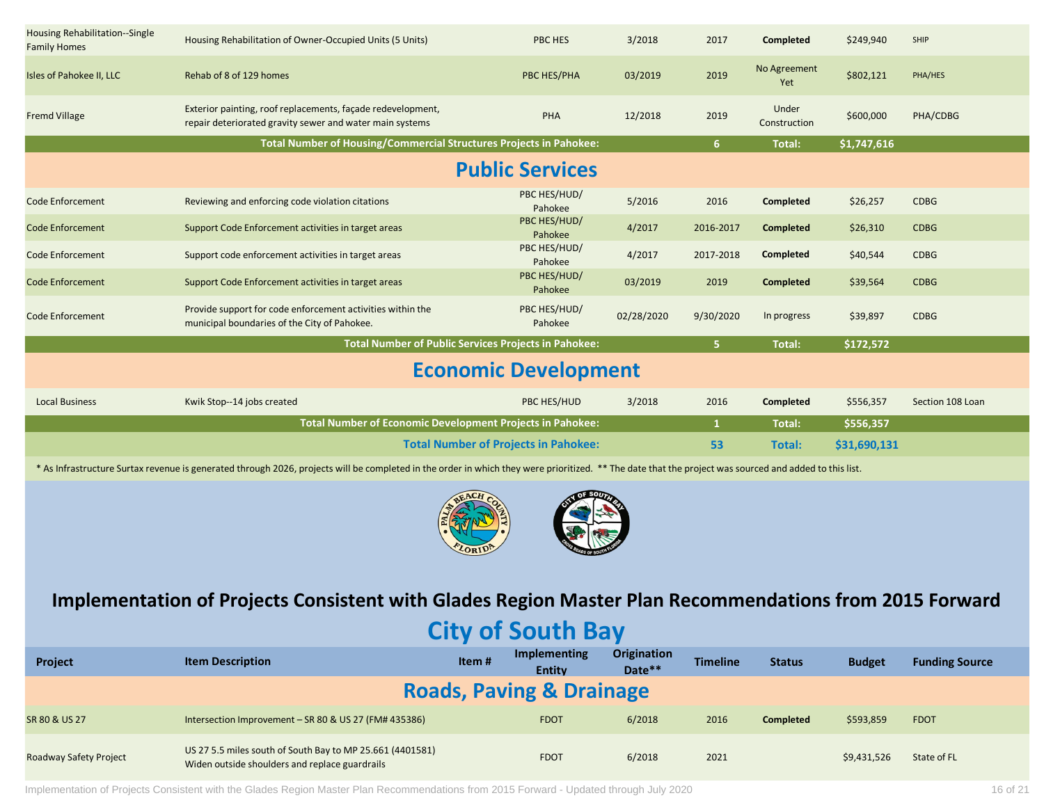| Housing Rehabilitation--Single<br><b>Family Homes</b> | Housing Rehabilitation of Owner-Occupied Units (5 Units)                                                                | <b>PBC HES</b>                              | 3/2018     | 2017         | <b>Completed</b>      | \$249,940    | SHIP             |
|-------------------------------------------------------|-------------------------------------------------------------------------------------------------------------------------|---------------------------------------------|------------|--------------|-----------------------|--------------|------------------|
| Isles of Pahokee II, LLC                              | Rehab of 8 of 129 homes                                                                                                 | PBC HES/PHA                                 | 03/2019    | 2019         | No Agreement<br>Yet   | \$802,121    | PHA/HES          |
| <b>Fremd Village</b>                                  | Exterior painting, roof replacements, façade redevelopment,<br>repair deteriorated gravity sewer and water main systems | PHA                                         | 12/2018    | 2019         | Under<br>Construction | \$600,000    | PHA/CDBG         |
|                                                       | Total Number of Housing/Commercial Structures Projects in Pahokee:                                                      |                                             |            | 6            | <b>Total:</b>         | \$1,747,616  |                  |
|                                                       |                                                                                                                         | <b>Public Services</b>                      |            |              |                       |              |                  |
| <b>Code Enforcement</b>                               | Reviewing and enforcing code violation citations                                                                        | PBC HES/HUD/<br>Pahokee                     | 5/2016     | 2016         | Completed             | \$26,257     | <b>CDBG</b>      |
| <b>Code Enforcement</b>                               | Support Code Enforcement activities in target areas                                                                     | PBC HES/HUD/<br>Pahokee                     | 4/2017     | 2016-2017    | <b>Completed</b>      | \$26,310     | <b>CDBG</b>      |
| <b>Code Enforcement</b>                               | Support code enforcement activities in target areas                                                                     | PBC HES/HUD/<br>Pahokee                     | 4/2017     | 2017-2018    | Completed             | \$40,544     | <b>CDBG</b>      |
| <b>Code Enforcement</b>                               | Support Code Enforcement activities in target areas                                                                     | PBC HES/HUD/<br>Pahokee                     | 03/2019    | 2019         | <b>Completed</b>      | \$39,564     | <b>CDBG</b>      |
| <b>Code Enforcement</b>                               | Provide support for code enforcement activities within the<br>municipal boundaries of the City of Pahokee.              | PBC HES/HUD/<br>Pahokee                     | 02/28/2020 | 9/30/2020    | In progress           | \$39,897     | <b>CDBG</b>      |
|                                                       | <b>Total Number of Public Services Projects in Pahokee:</b>                                                             |                                             |            | 5.           | <b>Total:</b>         | \$172,572    |                  |
|                                                       |                                                                                                                         | <b>Economic Development</b>                 |            |              |                       |              |                  |
| <b>Local Business</b>                                 | Kwik Stop--14 jobs created                                                                                              | PBC HES/HUD                                 | 3/2018     | 2016         | Completed             | \$556,357    | Section 108 Loan |
|                                                       | Total Number of Economic Development Projects in Pahokee:                                                               |                                             |            | $\mathbf{1}$ | Total:                | \$556,357    |                  |
|                                                       |                                                                                                                         | <b>Total Number of Projects in Pahokee:</b> |            | 53           | Total:                | \$31,690,131 |                  |

\* As Infrastructure Surtax revenue is generated through 2026, projects will be completed in the order in which they were prioritized. \*\* The date that the project was sourced and added to this list.



**Implementation of Projects Consistent with Glades Region Master Plan Recommendations from 2015 Forward**

# **City of South Bay**

| Project                | <b>Item Description</b>                                                                                     | Item# | Implementing<br><b>Entity</b>       | Origination<br>Date** | <b>Timeline</b> | <b>Status</b>    | <b>Budget</b> | <b>Funding Source</b> |  |
|------------------------|-------------------------------------------------------------------------------------------------------------|-------|-------------------------------------|-----------------------|-----------------|------------------|---------------|-----------------------|--|
|                        |                                                                                                             |       | <b>Roads, Paving &amp; Drainage</b> |                       |                 |                  |               |                       |  |
| SR 80 & US 27          | Intersection Improvement - SR 80 & US 27 (FM# 435386)                                                       |       | <b>FDOT</b>                         | 6/2018                | 2016            | <b>Completed</b> | \$593,859     | <b>FDOT</b>           |  |
| Roadway Safety Project | US 27 5.5 miles south of South Bay to MP 25.661 (4401581)<br>Widen outside shoulders and replace guardrails |       | <b>FDOT</b>                         | 6/2018                | 2021            |                  | \$9,431,526   | State of FL           |  |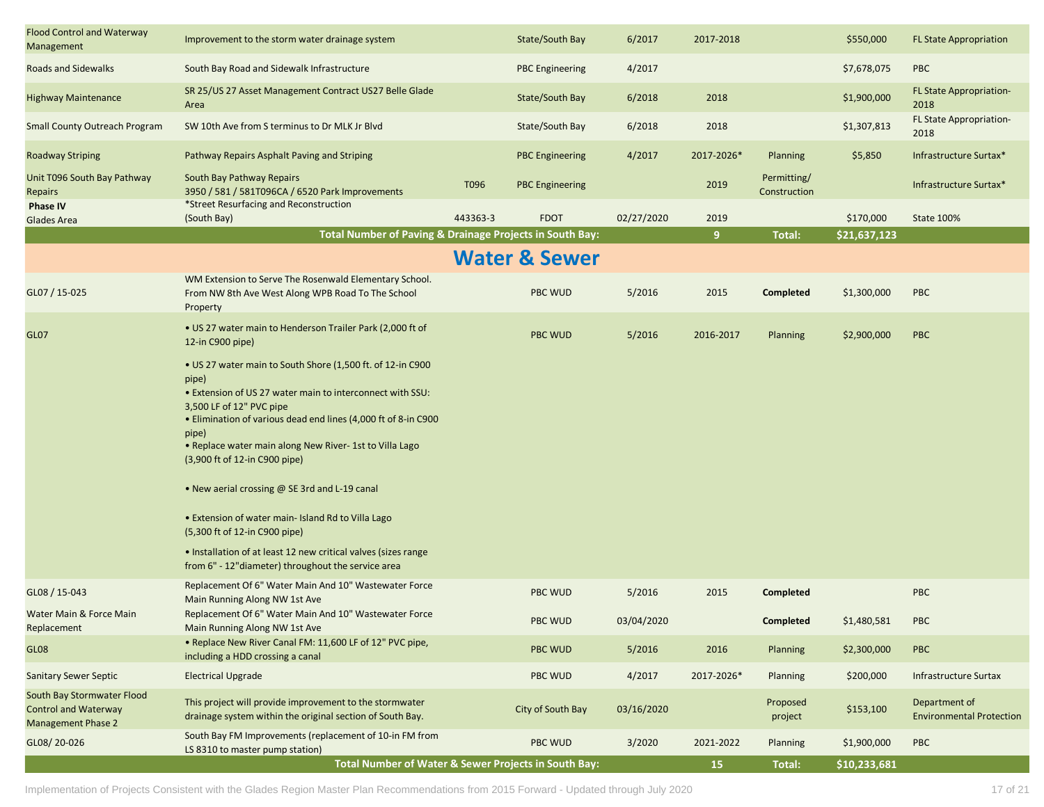| <b>Flood Control and Waterway</b><br>Management                                        | Improvement to the storm water drainage system                                                                                                                                                                                                                                                                                                                                                                                                                                                                                                                                                                                                                |          | State/South Bay          | 6/2017     | 2017-2018      |                             | \$550,000    | <b>FL State Appropriation</b>                    |
|----------------------------------------------------------------------------------------|---------------------------------------------------------------------------------------------------------------------------------------------------------------------------------------------------------------------------------------------------------------------------------------------------------------------------------------------------------------------------------------------------------------------------------------------------------------------------------------------------------------------------------------------------------------------------------------------------------------------------------------------------------------|----------|--------------------------|------------|----------------|-----------------------------|--------------|--------------------------------------------------|
| <b>Roads and Sidewalks</b>                                                             | South Bay Road and Sidewalk Infrastructure                                                                                                                                                                                                                                                                                                                                                                                                                                                                                                                                                                                                                    |          | <b>PBC Engineering</b>   | 4/2017     |                |                             | \$7,678,075  | <b>PBC</b>                                       |
| <b>Highway Maintenance</b>                                                             | SR 25/US 27 Asset Management Contract US27 Belle Glade<br>Area                                                                                                                                                                                                                                                                                                                                                                                                                                                                                                                                                                                                |          | State/South Bay          | 6/2018     | 2018           |                             | \$1,900,000  | FL State Appropriation-<br>2018                  |
| <b>Small County Outreach Program</b>                                                   | SW 10th Ave from S terminus to Dr MLK Jr Blvd                                                                                                                                                                                                                                                                                                                                                                                                                                                                                                                                                                                                                 |          | State/South Bay          | 6/2018     | 2018           |                             | \$1,307,813  | FL State Appropriation-<br>2018                  |
| <b>Roadway Striping</b>                                                                | Pathway Repairs Asphalt Paving and Striping                                                                                                                                                                                                                                                                                                                                                                                                                                                                                                                                                                                                                   |          | <b>PBC Engineering</b>   | 4/2017     | 2017-2026*     | Planning                    | \$5,850      | Infrastructure Surtax*                           |
| Unit T096 South Bay Pathway<br>Repairs                                                 | South Bay Pathway Repairs<br>3950 / 581 / 581T096CA / 6520 Park Improvements                                                                                                                                                                                                                                                                                                                                                                                                                                                                                                                                                                                  | T096     | <b>PBC Engineering</b>   |            | 2019           | Permitting/<br>Construction |              | Infrastructure Surtax*                           |
| <b>Phase IV</b><br>Glades Area                                                         | *Street Resurfacing and Reconstruction<br>(South Bay)                                                                                                                                                                                                                                                                                                                                                                                                                                                                                                                                                                                                         | 443363-3 | <b>FDOT</b>              | 02/27/2020 | 2019           |                             | \$170,000    | State 100%                                       |
|                                                                                        | Total Number of Paving & Drainage Projects in South Bay:                                                                                                                                                                                                                                                                                                                                                                                                                                                                                                                                                                                                      |          |                          |            | 9 <sup>°</sup> | Total:                      | \$21,637,123 |                                                  |
|                                                                                        |                                                                                                                                                                                                                                                                                                                                                                                                                                                                                                                                                                                                                                                               |          | <b>Water &amp; Sewer</b> |            |                |                             |              |                                                  |
| GL07 / 15-025                                                                          | WM Extension to Serve The Rosenwald Elementary School.<br>From NW 8th Ave West Along WPB Road To The School<br>Property                                                                                                                                                                                                                                                                                                                                                                                                                                                                                                                                       |          | <b>PBC WUD</b>           | 5/2016     | 2015           | Completed                   | \$1,300,000  | <b>PBC</b>                                       |
| <b>GL07</b>                                                                            | • US 27 water main to Henderson Trailer Park (2,000 ft of<br>12-in C900 pipe)                                                                                                                                                                                                                                                                                                                                                                                                                                                                                                                                                                                 |          | <b>PBC WUD</b>           | 5/2016     | 2016-2017      | <b>Planning</b>             | \$2,900,000  | <b>PBC</b>                                       |
|                                                                                        | • US 27 water main to South Shore (1,500 ft. of 12-in C900<br>pipe)<br>. Extension of US 27 water main to interconnect with SSU:<br>3,500 LF of 12" PVC pipe<br>• Elimination of various dead end lines (4,000 ft of 8-in C900<br>pipe)<br>• Replace water main along New River- 1st to Villa Lago<br>(3,900 ft of 12-in C900 pipe)<br>• New aerial crossing @ SE 3rd and L-19 canal<br>• Extension of water main- Island Rd to Villa Lago<br>(5,300 ft of 12-in C900 pipe)<br>• Installation of at least 12 new critical valves (sizes range<br>from 6" - 12" diameter) throughout the service area<br>Replacement Of 6" Water Main And 10" Wastewater Force |          |                          |            |                |                             |              |                                                  |
| GL08 / 15-043                                                                          | Main Running Along NW 1st Ave                                                                                                                                                                                                                                                                                                                                                                                                                                                                                                                                                                                                                                 |          | <b>PBC WUD</b>           | 5/2016     | 2015           | <b>Completed</b>            |              | <b>PBC</b>                                       |
| Water Main & Force Main<br>Replacement                                                 | Replacement Of 6" Water Main And 10" Wastewater Force<br>Main Running Along NW 1st Ave                                                                                                                                                                                                                                                                                                                                                                                                                                                                                                                                                                        |          | PBC WUD                  | 03/04/2020 |                | Completed                   | \$1,480,581  | PBC                                              |
| <b>GL08</b>                                                                            | . Replace New River Canal FM: 11,600 LF of 12" PVC pipe,<br>including a HDD crossing a canal                                                                                                                                                                                                                                                                                                                                                                                                                                                                                                                                                                  |          | PBC WUD                  | 5/2016     | 2016           | <b>Planning</b>             | \$2,300,000  | <b>PBC</b>                                       |
| <b>Sanitary Sewer Septic</b>                                                           | <b>Electrical Upgrade</b>                                                                                                                                                                                                                                                                                                                                                                                                                                                                                                                                                                                                                                     |          | <b>PBC WUD</b>           | 4/2017     | 2017-2026*     | <b>Planning</b>             | \$200,000    | <b>Infrastructure Surtax</b>                     |
| South Bay Stormwater Flood<br><b>Control and Waterway</b><br><b>Management Phase 2</b> | This project will provide improvement to the stormwater<br>drainage system within the original section of South Bay.                                                                                                                                                                                                                                                                                                                                                                                                                                                                                                                                          |          | City of South Bay        | 03/16/2020 |                | Proposed<br>project         | \$153,100    | Department of<br><b>Environmental Protection</b> |
| GL08/20-026                                                                            | South Bay FM Improvements (replacement of 10-in FM from<br>LS 8310 to master pump station)                                                                                                                                                                                                                                                                                                                                                                                                                                                                                                                                                                    |          | PBC WUD                  | 3/2020     | 2021-2022      | <b>Planning</b>             | \$1,900,000  | PBC                                              |
|                                                                                        | <b>Total Number of Water &amp; Sewer Projects in South Bay:</b>                                                                                                                                                                                                                                                                                                                                                                                                                                                                                                                                                                                               |          |                          |            | 15             | Total:                      | \$10,233,681 |                                                  |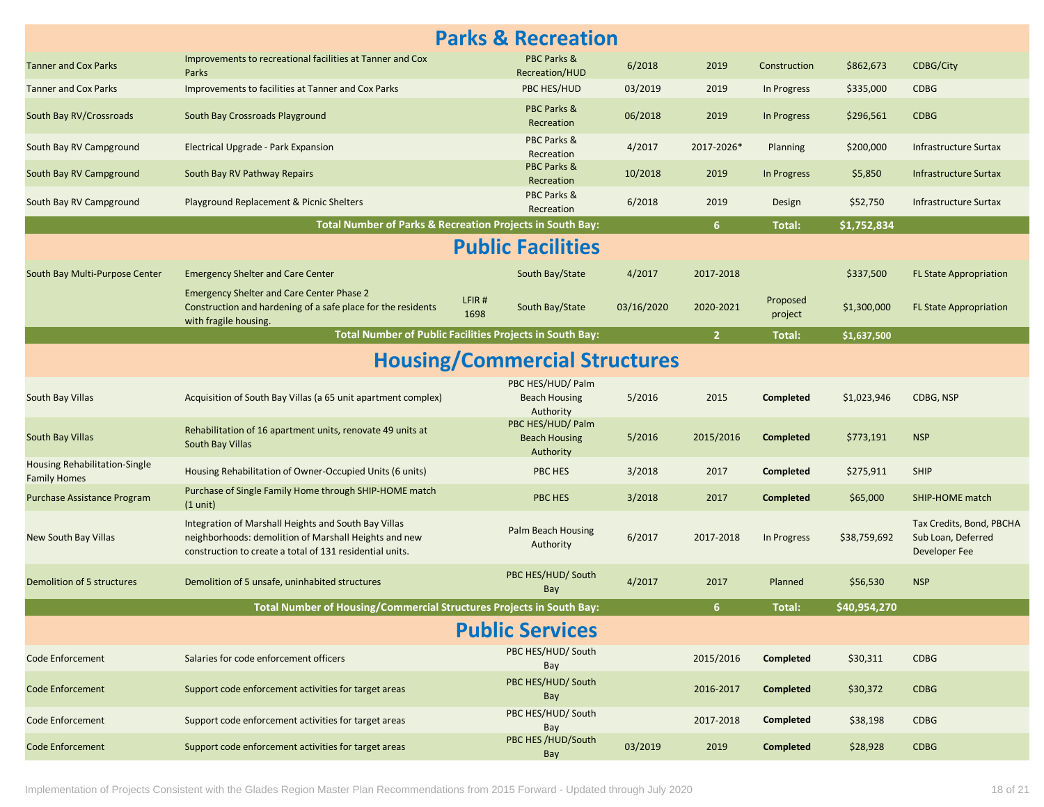|                                                      |                                                                                                                                                                           | <b>Parks &amp; Recreation</b>                            |            |                |                     |              |                                                                 |
|------------------------------------------------------|---------------------------------------------------------------------------------------------------------------------------------------------------------------------------|----------------------------------------------------------|------------|----------------|---------------------|--------------|-----------------------------------------------------------------|
| <b>Tanner and Cox Parks</b>                          | Improvements to recreational facilities at Tanner and Cox<br>Parks                                                                                                        | PBC Parks &<br>Recreation/HUD                            | 6/2018     | 2019           | Construction        | \$862,673    | <b>CDBG/City</b>                                                |
| <b>Tanner and Cox Parks</b>                          | Improvements to facilities at Tanner and Cox Parks                                                                                                                        | PBC HES/HUD                                              | 03/2019    | 2019           | In Progress         | \$335,000    | <b>CDBG</b>                                                     |
| South Bay RV/Crossroads                              | South Bay Crossroads Playground                                                                                                                                           | PBC Parks &<br>Recreation                                | 06/2018    | 2019           | In Progress         | \$296,561    | <b>CDBG</b>                                                     |
| South Bay RV Campground                              | Electrical Upgrade - Park Expansion                                                                                                                                       | PBC Parks &<br>Recreation                                | 4/2017     | 2017-2026*     | Planning            | \$200,000    | Infrastructure Surtax                                           |
| South Bay RV Campground                              | South Bay RV Pathway Repairs                                                                                                                                              | PBC Parks &<br>Recreation                                | 10/2018    | 2019           | In Progress         | \$5,850      | <b>Infrastructure Surtax</b>                                    |
| South Bay RV Campground                              | Playground Replacement & Picnic Shelters                                                                                                                                  | PBC Parks &<br>Recreation                                | 6/2018     | 2019           | Design              | \$52,750     | Infrastructure Surtax                                           |
|                                                      | Total Number of Parks & Recreation Projects in South Bay:                                                                                                                 |                                                          |            | 6 <sup>1</sup> | Total:              | \$1,752,834  |                                                                 |
|                                                      |                                                                                                                                                                           | <b>Public Facilities</b>                                 |            |                |                     |              |                                                                 |
| South Bay Multi-Purpose Center                       | <b>Emergency Shelter and Care Center</b>                                                                                                                                  | South Bay/State                                          | 4/2017     | 2017-2018      |                     | \$337,500    | <b>FL State Appropriation</b>                                   |
|                                                      | <b>Emergency Shelter and Care Center Phase 2</b><br>Construction and hardening of a safe place for the residents<br>with fragile housing.                                 | LFIR#<br>South Bay/State<br>1698                         | 03/16/2020 | 2020-2021      | Proposed<br>project | \$1,300,000  | <b>FL State Appropriation</b>                                   |
|                                                      |                                                                                                                                                                           | Total Number of Public Facilities Projects in South Bay: |            | 2 <sup>1</sup> | Total:              | \$1,637,500  |                                                                 |
|                                                      |                                                                                                                                                                           | <b>Housing/Commercial Structures</b>                     |            |                |                     |              |                                                                 |
| South Bay Villas                                     | Acquisition of South Bay Villas (a 65 unit apartment complex)                                                                                                             | PBC HES/HUD/ Palm<br><b>Beach Housing</b><br>Authority   | 5/2016     | 2015           | Completed           | \$1,023,946  | CDBG, NSP                                                       |
| South Bay Villas                                     | Rehabilitation of 16 apartment units, renovate 49 units at<br>South Bay Villas                                                                                            | PBC HES/HUD/ Palm<br><b>Beach Housing</b><br>Authority   | 5/2016     | 2015/2016      | <b>Completed</b>    | \$773,191    | <b>NSP</b>                                                      |
| Housing Rehabilitation-Single<br><b>Family Homes</b> | Housing Rehabilitation of Owner-Occupied Units (6 units)                                                                                                                  | PBC HES                                                  | 3/2018     | 2017           | Completed           | \$275,911    | SHIP                                                            |
| Purchase Assistance Program                          | Purchase of Single Family Home through SHIP-HOME match<br>$(1 \text{ unit})$                                                                                              | PBC HES                                                  | 3/2018     | 2017           | <b>Completed</b>    | \$65,000     | <b>SHIP-HOME match</b>                                          |
| New South Bay Villas                                 | Integration of Marshall Heights and South Bay Villas<br>neighborhoods: demolition of Marshall Heights and new<br>construction to create a total of 131 residential units. | Palm Beach Housing<br>Authority                          | 6/2017     | 2017-2018      | In Progress         | \$38,759,692 | Tax Credits, Bond, PBCHA<br>Sub Loan, Deferred<br>Developer Fee |
| Demolition of 5 structures                           | Demolition of 5 unsafe, uninhabited structures                                                                                                                            | PBC HES/HUD/ South<br>Bay                                | 4/2017     | 2017           | Planned             | \$56,530     | <b>NSP</b>                                                      |
|                                                      | Total Number of Housing/Commercial Structures Projects in South Bay:                                                                                                      |                                                          |            | 6              | Total:              | \$40,954,270 |                                                                 |
|                                                      |                                                                                                                                                                           | <b>Public Services</b>                                   |            |                |                     |              |                                                                 |
| <b>Code Enforcement</b>                              | Salaries for code enforcement officers                                                                                                                                    | PBC HES/HUD/ South<br>Bay                                |            | 2015/2016      | Completed           | \$30,311     | <b>CDBG</b>                                                     |
| <b>Code Enforcement</b>                              | Support code enforcement activities for target areas                                                                                                                      | PBC HES/HUD/ South<br>Bay                                |            | 2016-2017      | <b>Completed</b>    | \$30,372     | <b>CDBG</b>                                                     |
| <b>Code Enforcement</b>                              | Support code enforcement activities for target areas                                                                                                                      | PBC HES/HUD/ South<br>Bay                                |            | 2017-2018      | Completed           | \$38,198     | <b>CDBG</b>                                                     |
| <b>Code Enforcement</b>                              | Support code enforcement activities for target areas                                                                                                                      | PBC HES /HUD/South<br>Bay                                | 03/2019    | 2019           | <b>Completed</b>    | \$28,928     | <b>CDBG</b>                                                     |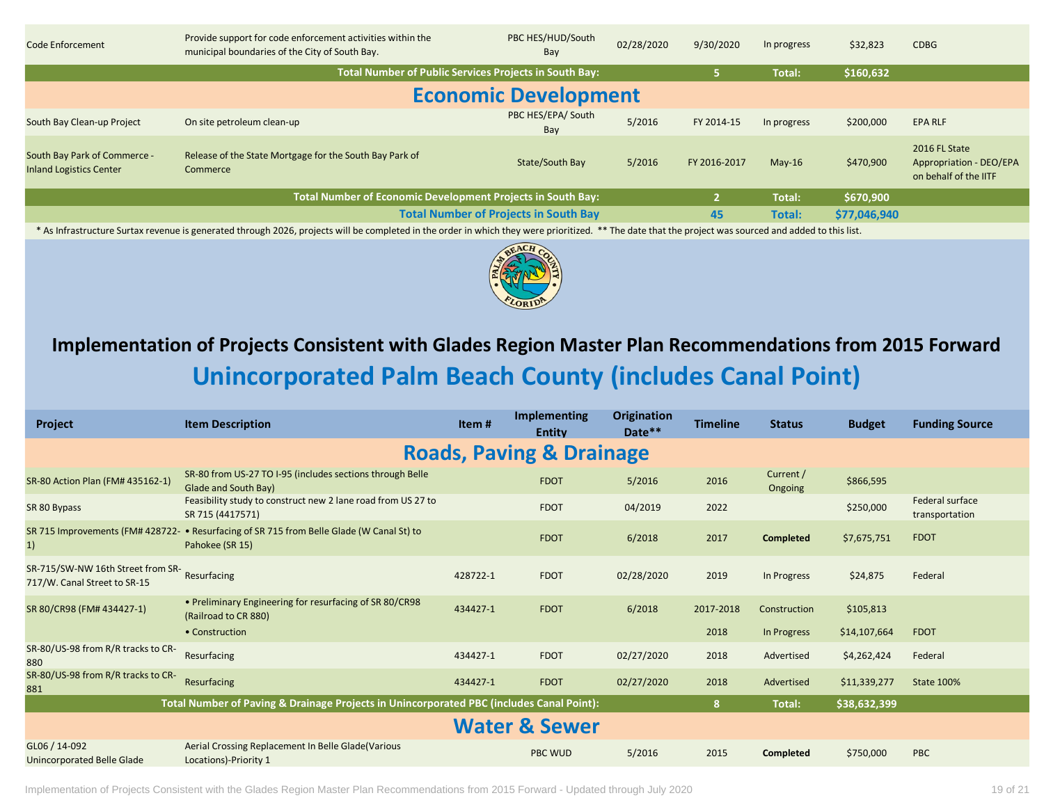| Code Enforcement                                               | Provide support for code enforcement activities within the<br>municipal boundaries of the City of South Bay. | PBC HES/HUD/South<br>Bay                     | 02/28/2020 | 9/30/2020    | In progress   | \$32,823     | <b>CDBG</b>                                                       |  |  |  |
|----------------------------------------------------------------|--------------------------------------------------------------------------------------------------------------|----------------------------------------------|------------|--------------|---------------|--------------|-------------------------------------------------------------------|--|--|--|
|                                                                | Total Number of Public Services Projects in South Bay:                                                       |                                              |            |              | <b>Total:</b> | \$160,632    |                                                                   |  |  |  |
| <b>Economic Development</b>                                    |                                                                                                              |                                              |            |              |               |              |                                                                   |  |  |  |
| South Bay Clean-up Project                                     | On site petroleum clean-up                                                                                   | PBC HES/EPA/ South<br>Bay                    | 5/2016     | FY 2014-15   | In progress   | \$200,000    | EPA RLF                                                           |  |  |  |
| South Bay Park of Commerce -<br><b>Inland Logistics Center</b> | Release of the State Mortgage for the South Bay Park of<br>Commerce                                          | State/South Bay                              | 5/2016     | FY 2016-2017 | $May-16$      | \$470,900    | 2016 FL State<br>Appropriation - DEO/EPA<br>on behalf of the IITF |  |  |  |
|                                                                | Total Number of Economic Development Projects in South Bay:                                                  |                                              |            |              | <b>Total:</b> | \$670,900    |                                                                   |  |  |  |
|                                                                |                                                                                                              | <b>Total Number of Projects in South Bay</b> |            | 45           | Total:        | \$77,046,940 |                                                                   |  |  |  |

\* As Infrastructure Surtax revenue is generated through 2026, projects will be completed in the order in which they were prioritized. \*\* The date that the project was sourced and added to this list.



# **Unincorporated Palm Beach County (includes Canal Point) Implementation of Projects Consistent with Glades Region Master Plan Recommendations from 2015 Forward**

| Project                                                                          | <b>Item Description</b>                                                                  | Item#    | <b>Implementing</b><br><b>Entity</b> | <b>Origination</b><br>Date** | <b>Timeline</b> | <b>Status</b>        | <b>Budget</b> | <b>Funding Source</b>             |
|----------------------------------------------------------------------------------|------------------------------------------------------------------------------------------|----------|--------------------------------------|------------------------------|-----------------|----------------------|---------------|-----------------------------------|
|                                                                                  |                                                                                          |          | <b>Roads, Paving &amp; Drainage</b>  |                              |                 |                      |               |                                   |
| SR-80 Action Plan (FM# 435162-1)                                                 | SR-80 from US-27 TO I-95 (includes sections through Belle<br>Glade and South Bay)        |          | <b>FDOT</b>                          | 5/2016                       | 2016            | Current /<br>Ongoing | \$866,595     |                                   |
| SR 80 Bypass                                                                     | Feasibility study to construct new 2 lane road from US 27 to<br>SR 715 (4417571)         |          | <b>FDOT</b>                          | 04/2019                      | 2022            |                      | \$250,000     | Federal surface<br>transportation |
| SR 715 Improvements (FM# 428722-<br>1)                                           | . Resurfacing of SR 715 from Belle Glade (W Canal St) to<br>Pahokee (SR 15)              |          | <b>FDOT</b>                          | 6/2018                       | 2017            | <b>Completed</b>     | \$7,675,751   | <b>FDOT</b>                       |
| SR-715/SW-NW 16th Street from SR-<br>Resurfacing<br>717/W. Canal Street to SR-15 |                                                                                          | 428722-1 | <b>FDOT</b>                          | 02/28/2020                   | 2019            | In Progress          | \$24,875      | Federal                           |
| SR 80/CR98 (FM# 434427-1)                                                        | • Preliminary Engineering for resurfacing of SR 80/CR98<br>(Railroad to CR 880)          | 434427-1 | <b>FDOT</b>                          | 6/2018                       | 2017-2018       | Construction         | \$105,813     |                                   |
|                                                                                  | • Construction                                                                           |          |                                      |                              | 2018            | In Progress          | \$14,107,664  | <b>FDOT</b>                       |
| SR-80/US-98 from R/R tracks to CR-<br>880                                        | Resurfacing                                                                              | 434427-1 | <b>FDOT</b>                          | 02/27/2020                   | 2018            | Advertised           | \$4,262,424   | Federal                           |
| SR-80/US-98 from R/R tracks to CR-<br>881                                        | Resurfacing                                                                              | 434427-1 | <b>FDOT</b>                          | 02/27/2020                   | 2018            | Advertised           | \$11,339,277  | <b>State 100%</b>                 |
|                                                                                  | Total Number of Paving & Drainage Projects in Unincorporated PBC (includes Canal Point): |          |                                      |                              | 8               | Total:               | \$38,632,399  |                                   |
|                                                                                  |                                                                                          |          | <b>Water &amp; Sewer</b>             |                              |                 |                      |               |                                   |
| GL06 / 14-092<br>Unincorporated Belle Glade                                      | Aerial Crossing Replacement In Belle Glade(Various<br>Locations)-Priority 1              |          | <b>PBC WUD</b>                       | 5/2016                       | 2015            | Completed            | \$750,000     | <b>PBC</b>                        |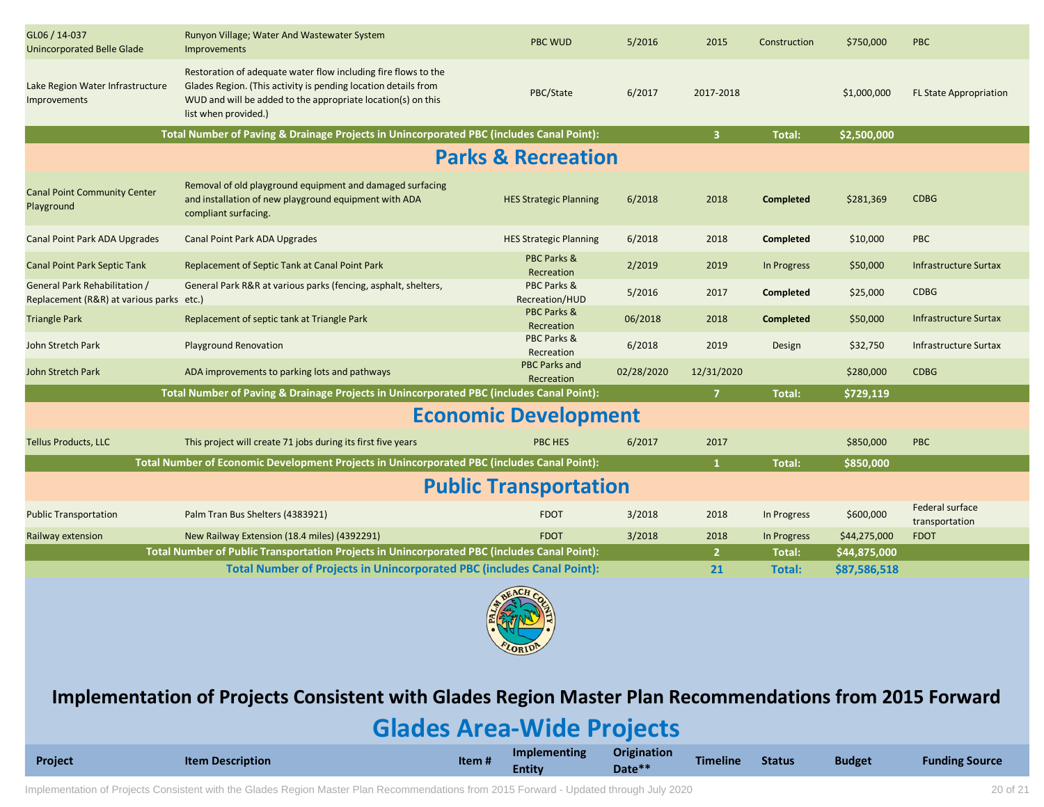| GL06 / 14-037<br><b>Unincorporated Belle Glade</b>                        | Runyon Village; Water And Wastewater System<br>Improvements                                                                                                                                                              | <b>PBC WUD</b>                       | 5/2016     | 2015                    | Construction     | \$750,000    | <b>PBC</b>                        |
|---------------------------------------------------------------------------|--------------------------------------------------------------------------------------------------------------------------------------------------------------------------------------------------------------------------|--------------------------------------|------------|-------------------------|------------------|--------------|-----------------------------------|
| Lake Region Water Infrastructure<br><b>Improvements</b>                   | Restoration of adequate water flow including fire flows to the<br>Glades Region. (This activity is pending location details from<br>WUD and will be added to the appropriate location(s) on this<br>list when provided.) | PBC/State                            | 6/2017     | 2017-2018               |                  | \$1,000,000  | <b>FL State Appropriation</b>     |
|                                                                           | Total Number of Paving & Drainage Projects in Unincorporated PBC (includes Canal Point):                                                                                                                                 |                                      |            | $\overline{\mathbf{3}}$ | <b>Total:</b>    | \$2,500,000  |                                   |
|                                                                           |                                                                                                                                                                                                                          | <b>Parks &amp; Recreation</b>        |            |                         |                  |              |                                   |
| <b>Canal Point Community Center</b><br>Playground                         | Removal of old playground equipment and damaged surfacing<br>and installation of new playground equipment with ADA<br>compliant surfacing.                                                                               | <b>HES Strategic Planning</b>        | 6/2018     | 2018                    | <b>Completed</b> | \$281,369    | <b>CDBG</b>                       |
| Canal Point Park ADA Upgrades                                             | Canal Point Park ADA Upgrades                                                                                                                                                                                            | <b>HES Strategic Planning</b>        | 6/2018     | 2018                    | Completed        | \$10,000     | <b>PBC</b>                        |
| <b>Canal Point Park Septic Tank</b>                                       | Replacement of Septic Tank at Canal Point Park                                                                                                                                                                           | <b>PBC Parks &amp;</b><br>Recreation | 2/2019     | 2019                    | In Progress      | \$50,000     | <b>Infrastructure Surtax</b>      |
| General Park Rehabilitation /<br>Replacement (R&R) at various parks etc.) | General Park R&R at various parks (fencing, asphalt, shelters,                                                                                                                                                           | PBC Parks &<br>Recreation/HUD        | 5/2016     | 2017                    | <b>Completed</b> | \$25,000     | <b>CDBG</b>                       |
| <b>Triangle Park</b>                                                      | Replacement of septic tank at Triangle Park                                                                                                                                                                              | <b>PBC Parks &amp;</b><br>Recreation | 06/2018    | 2018                    | <b>Completed</b> | \$50,000     | <b>Infrastructure Surtax</b>      |
| John Stretch Park                                                         | <b>Playground Renovation</b>                                                                                                                                                                                             | PBC Parks &<br>Recreation            | 6/2018     | 2019                    | Design           | \$32,750     | <b>Infrastructure Surtax</b>      |
| John Stretch Park                                                         | ADA improvements to parking lots and pathways                                                                                                                                                                            | <b>PBC Parks and</b><br>Recreation   | 02/28/2020 | 12/31/2020              |                  | \$280,000    | <b>CDBG</b>                       |
|                                                                           | Total Number of Paving & Drainage Projects in Unincorporated PBC (includes Canal Point):                                                                                                                                 |                                      |            | 7 <sup>7</sup>          | <b>Total:</b>    | \$729,119    |                                   |
|                                                                           |                                                                                                                                                                                                                          | <b>Economic Development</b>          |            |                         |                  |              |                                   |
| <b>Tellus Products, LLC</b>                                               | This project will create 71 jobs during its first five years                                                                                                                                                             | PBC HES                              | 6/2017     | 2017                    |                  | \$850,000    | <b>PBC</b>                        |
|                                                                           | Total Number of Economic Development Projects in Unincorporated PBC (includes Canal Point):                                                                                                                              |                                      |            | $\mathbf{1}$            | <b>Total:</b>    | \$850,000    |                                   |
|                                                                           |                                                                                                                                                                                                                          | <b>Public Transportation</b>         |            |                         |                  |              |                                   |
| <b>Public Transportation</b>                                              | Palm Tran Bus Shelters (4383921)                                                                                                                                                                                         | <b>FDOT</b>                          | 3/2018     | 2018                    | In Progress      | \$600,000    | Federal surface<br>transportation |
| Railway extension                                                         | New Railway Extension (18.4 miles) (4392291)                                                                                                                                                                             | <b>FDOT</b>                          | 3/2018     | 2018                    | In Progress      | \$44,275,000 | <b>FDOT</b>                       |
|                                                                           | Total Number of Public Transportation Projects in Unincorporated PBC (includes Canal Point):                                                                                                                             |                                      |            | $\overline{2}$          | Total:           | \$44,875,000 |                                   |
|                                                                           | Total Number of Projects in Unincorporated PBC (includes Canal Point):                                                                                                                                                   |                                      |            | 21                      | Total:           | \$87,586,518 |                                   |



### **Implementation of Projects Consistent with Glades Region Master Plan Recommendations from 2015 Forward**

## **Glades Area-Wide Projects**

| Project | <b>Item Description</b> | Item# | <b>Implementing</b><br>Entity | Origination<br>Date** | Timeline | <b>Status</b> | <b>Budget</b> | <b>Funding Source</b> |
|---------|-------------------------|-------|-------------------------------|-----------------------|----------|---------------|---------------|-----------------------|
|---------|-------------------------|-------|-------------------------------|-----------------------|----------|---------------|---------------|-----------------------|